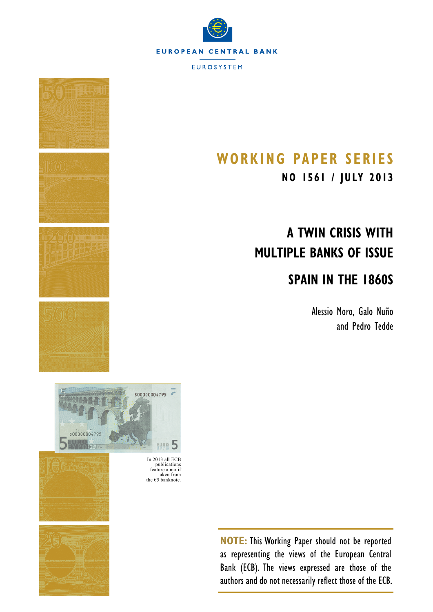





In 2013 all ECB publications feature a motif taken from the  $€5$  banknote.



## **Working Paper SerieS**

**NO 1561 / july 2013**

# **A Twin Crisis with Multiple Banks of Issue**

## **Spain in the 1860s**

Alessio Moro, Galo Nuño and Pedro Tedde

**NOTE:** This Working Paper should not be reported as representing the views of the European Central Bank (ECB). The views expressed are those of the authors and do not necessarily reflect those of the ECB.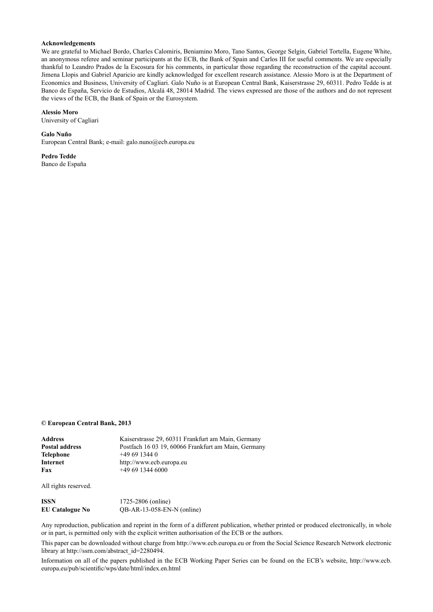#### **Acknowledgements**

We are grateful to Michael Bordo, Charles Calomiris, Beniamino Moro, Tano Santos, George Selgin, Gabriel Tortella, Eugene White, an anonymous referee and seminar participants at the ECB, the Bank of Spain and Carlos III for useful comments. We are especially thankful to Leandro Prados de la Escosura for his comments, in particular those regarding the reconstruction of the capital account. Jimena Llopis and Gabriel Aparicio are kindly acknowledged for excellent research assistance. Alessio Moro is at the Department of Economics and Business, University of Cagliari. Galo Nuño is at European Central Bank, Kaiserstrasse 29, 60311. Pedro Tedde is at Banco de España, Servicio de Estudios, Alcalá 48, 28014 Madrid. The views expressed are those of the authors and do not represent the views of the ECB, the Bank of Spain or the Eurosystem.

#### **Alessio Moro**

[University of Cagliari](http://www.unica.it/pub/english/)

**Galo Nuño** [European Central Bank](http://www.ecb.europa.eu/home/html/index.en.html); e-mail: [galo.nuno@ecb.europa.eu](mailto:galo.nuno%40ecb.europa.eu?subject=)

**Pedro Tedde** [Banco de España](http://www.bde.es/bde/en/)

#### **© European Central Bank, 2013**

| Address        | Kaiserstrasse 29, 60311 Frankfurt am Main, Germany  |
|----------------|-----------------------------------------------------|
| Postal address | Postfach 16 03 19, 60066 Frankfurt am Main, Germany |
| Telephone      | $+496913440$                                        |
| Internet       | http://www.ecb.europa.eu                            |
| Fax            | $+496913446000$                                     |
|                |                                                     |

All rights reserved.

| ISSN                   | 1725-2806 (online)           |
|------------------------|------------------------------|
| <b>EU Catalogue No</b> | $QB-AR-13-058-EN-N$ (online) |

Any reproduction, publication and reprint in the form of a different publication, whether printed or produced electronically, in whole or in part, is permitted only with the explicit written authorisation of the ECB or the authors.

This paper can be downloaded without charge from http://www.ecb.europa.eu or from the Social Science Research Network electronic library at http://ssrn.com/abstract\_id=2280494.

Information on all of the papers published in the ECB Working Paper Series can be found on the ECB's website, [http://www.ecb.](http://www.ecb.europa.eu/pub/scientific/wps/date/html/index.en.html) [europa.eu/pub/scientific/wps/date/html/index.en.html](http://www.ecb.europa.eu/pub/scientific/wps/date/html/index.en.html)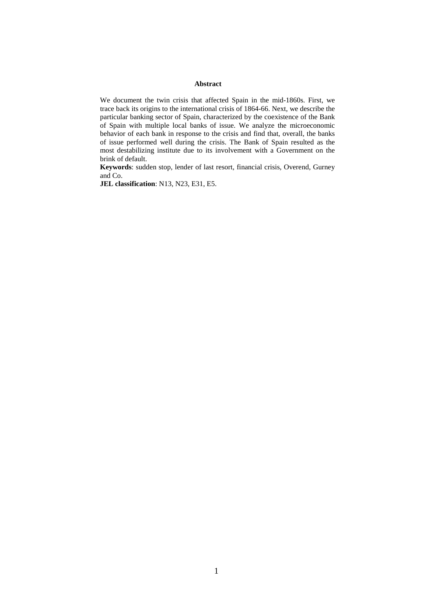#### **Abstract**

We document t[he](#page-2-0) twin crisis that affected Spain in the mid-1860s. First, we trace back its origins to the international crisis of 1864-66. Next, we describe the particular banking sector of Spain, characterized by the coexistence of the Bank of Spain with multiple local banks of issue. We analyze the microeconomic behavior of each bank in response to the crisis and find that, overall, the banks of issue performed well during the crisis. The Bank of Spain resulted as the most destabilizing institute due to its involvement with a Government on the brink of default.

**Keywords**: sudden stop, lender of last resort, financial crisis, Overend, Gurney and Co.

<span id="page-2-0"></span>**JEL classification**: N13, N23, E31, E5.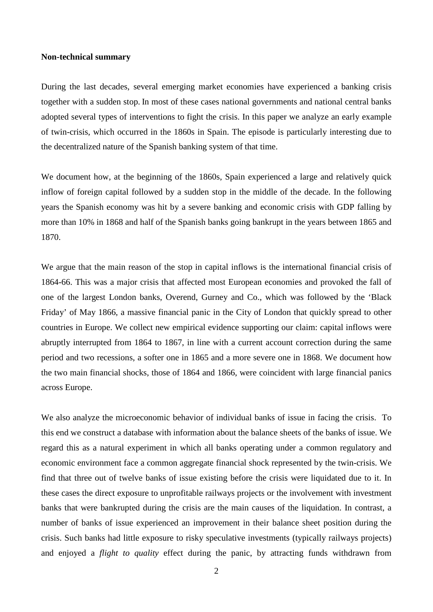### **Non-technical summary**

During the last decades, several emerging market economies have experienced a banking crisis together with a sudden stop. In most of these cases national governments and national central banks adopted several types of interventions to fight the crisis. In this paper we analyze an early example of twin-crisis, which occurred in the 1860s in Spain. The episode is particularly interesting due to the decentralized nature of the Spanish banking system of that time.

We document how, at the beginning of the 1860s, Spain experienced a large and relatively quick inflow of foreign capital followed by a sudden stop in the middle of the decade. In the following years the Spanish economy was hit by a severe banking and economic crisis with GDP falling by more than 10% in 1868 and half of the Spanish banks going bankrupt in the years between 1865 and 1870.

We argue that the main reason of the stop in capital inflows is the international financial crisis of 1864-66. This was a major crisis that affected most European economies and provoked the fall of one of the largest London banks, Overend, Gurney and Co., which was followed by the 'Black Friday' of May 1866, a massive financial panic in the City of London that quickly spread to other countries in Europe. We collect new empirical evidence supporting our claim: capital inflows were abruptly interrupted from 1864 to 1867, in line with a current account correction during the same period and two recessions, a softer one in 1865 and a more severe one in 1868. We document how the two main financial shocks, those of 1864 and 1866, were coincident with large financial panics across Europe.

We also analyze the microeconomic behavior of individual banks of issue in facing the crisis. To this end we construct a database with information about the balance sheets of the banks of issue. We regard this as a natural experiment in which all banks operating under a common regulatory and economic environment face a common aggregate financial shock represented by the twin-crisis. We find that three out of twelve banks of issue existing before the crisis were liquidated due to it. In these cases the direct exposure to unprofitable railways projects or the involvement with investment banks that were bankrupted during the crisis are the main causes of the liquidation. In contrast, a number of banks of issue experienced an improvement in their balance sheet position during the crisis. Such banks had little exposure to risky speculative investments (typically railways projects) and enjoyed a *flight to quality* effect during the panic, by attracting funds withdrawn from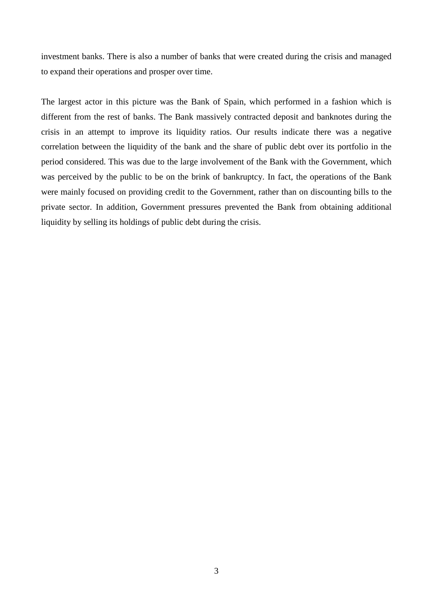investment banks. There is also a number of banks that were created during the crisis and managed to expand their operations and prosper over time.

The largest actor in this picture was the Bank of Spain, which performed in a fashion which is different from the rest of banks. The Bank massively contracted deposit and banknotes during the crisis in an attempt to improve its liquidity ratios. Our results indicate there was a negative correlation between the liquidity of the bank and the share of public debt over its portfolio in the period considered. This was due to the large involvement of the Bank with the Government, which was perceived by the public to be on the brink of bankruptcy. In fact, the operations of the Bank were mainly focused on providing credit to the Government, rather than on discounting bills to the private sector. In addition, Government pressures prevented the Bank from obtaining additional liquidity by selling its holdings of public debt during the crisis.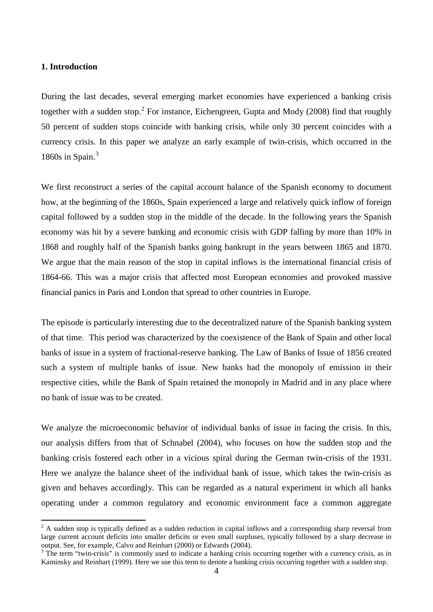## **1. Introduction**

During the last decades, several emerging market economies have experienced a banking crisis together with a sudden stop.<sup>[2](#page-5-0)</sup> For instance, Eichengreen, Gupta and Mody (2008) find that roughly 50 percent of sudden stops coincide with banking crisis, while only 30 percent coincides with a currency crisis. In this paper we analyze an early example of twin-crisis, which occurred in the 1860s in Spain. $3$ 

We first reconstruct a series of the capital account balance of the Spanish economy to document how, at the beginning of the 1860s, Spain experienced a large and relatively quick inflow of foreign capital followed by a sudden stop in the middle of the decade. In the following years the Spanish economy was hit by a severe banking and economic crisis with GDP falling by more than 10% in 1868 and roughly half of the Spanish banks going bankrupt in the years between 1865 and 1870. We argue that the main reason of the stop in capital inflows is the international financial crisis of 1864-66. This was a major crisis that affected most European economies and provoked massive financial panics in Paris and London that spread to other countries in Europe.

The episode is particularly interesting due to the decentralized nature of the Spanish banking system of that time. This period was characterized by the coexistence of the Bank of Spain and other local banks of issue in a system of fractional-reserve banking. The Law of Banks of Issue of 1856 created such a system of multiple banks of issue. New banks had the monopoly of emission in their respective cities, while the Bank of Spain retained the monopoly in Madrid and in any place where no bank of issue was to be created.

We analyze the microeconomic behavior of individual banks of issue in facing the crisis. In this, our analysis differs from that of Schnabel (2004), who focuses on how the sudden stop and the banking crisis fostered each other in a vicious spiral during the German twin-crisis of the 1931. Here we analyze the balance sheet of the individual bank of issue, which takes the twin-crisis as given and behaves accordingly. This can be regarded as a natural experiment in which all banks operating under a common regulatory and economic environment face a common aggregate

<span id="page-5-0"></span> $2 \text{ A sudden stop is typically defined as a sudden reduction in capital inflows and a corresponding sharp reversal from }$ large current account deficits into smaller deficits or even small surpluses, typically followed by a sharp decrease in output. See, for example, Calvo and Reinhart (2000) or Edwards (2004).

<span id="page-5-1"></span><sup>&</sup>lt;sup>3</sup> The term "twin-crisis" is commonly used to indicate a banking crisis occurring together with a currency crisis, as in Kaminsky and Reinhart (1999). Here we use this term to denote a banking crisis occurring together with a sudden stop.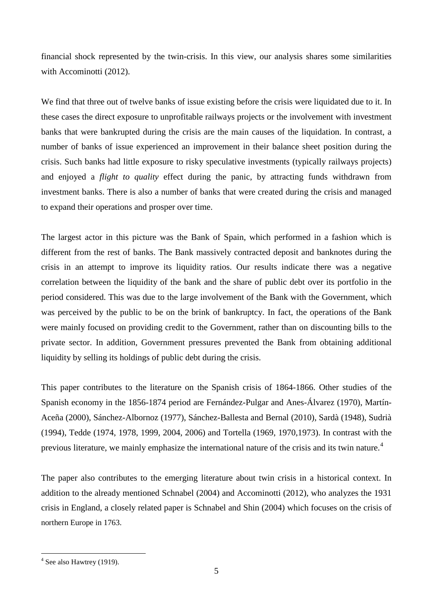financial shock represented by the twin-crisis. In this view, our analysis shares some similarities with Accominotti (2012).

We find that three out of twelve banks of issue existing before the crisis were liquidated due to it. In these cases the direct exposure to unprofitable railways projects or the involvement with investment banks that were bankrupted during the crisis are the main causes of the liquidation. In contrast, a number of banks of issue experienced an improvement in their balance sheet position during the crisis. Such banks had little exposure to risky speculative investments (typically railways projects) and enjoyed a *flight to quality* effect during the panic, by attracting funds withdrawn from investment banks. There is also a number of banks that were created during the crisis and managed to expand their operations and prosper over time.

The largest actor in this picture was the Bank of Spain, which performed in a fashion which is different from the rest of banks. The Bank massively contracted deposit and banknotes during the crisis in an attempt to improve its liquidity ratios. Our results indicate there was a negative correlation between the liquidity of the bank and the share of public debt over its portfolio in the period considered. This was due to the large involvement of the Bank with the Government, which was perceived by the public to be on the brink of bankruptcy. In fact, the operations of the Bank were mainly focused on providing credit to the Government, rather than on discounting bills to the private sector. In addition, Government pressures prevented the Bank from obtaining additional liquidity by selling its holdings of public debt during the crisis.

This paper contributes to the literature on the Spanish crisis of 1864-1866. Other studies of the Spanish economy in the 1856-1874 period are Fernández-Pulgar and Anes-Álvarez (1970), Martín-Aceña (2000), Sánchez-Albornoz (1977), Sánchez-Ballesta and Bernal (2010), Sardà (1948), Sudrià (1994), Tedde (1974, 1978, 1999, 2004, 2006) and Tortella (1969, 1970,1973). In contrast with the previous literature, we mainly emphasize the international nature of the crisis and its twin nature.<sup>[4](#page-6-0)</sup>

The paper also contributes to the emerging literature about twin crisis in a historical context. In addition to the already mentioned Schnabel (2004) and Accominotti (2012), who analyzes the 1931 crisis in England, a closely related paper is Schnabel and Shin (2004) which focuses on the crisis of northern Europe in 1763.

<span id="page-6-0"></span> $4$  See also Hawtrey (1919).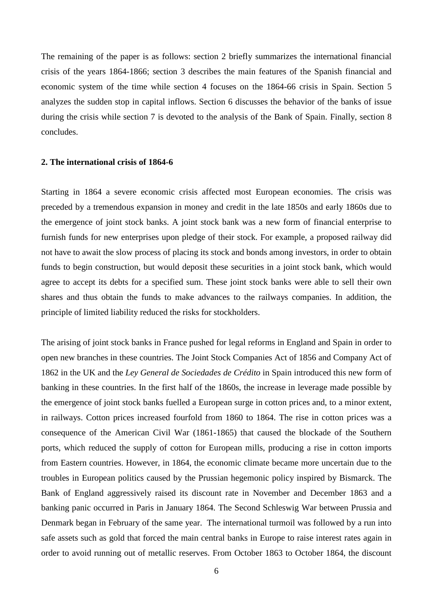The remaining of the paper is as follows: section 2 briefly summarizes the international financial crisis of the years 1864-1866; section 3 describes the main features of the Spanish financial and economic system of the time while section 4 focuses on the 1864-66 crisis in Spain. Section 5 analyzes the sudden stop in capital inflows. Section 6 discusses the behavior of the banks of issue during the crisis while section 7 is devoted to the analysis of the Bank of Spain. Finally, section 8 concludes.

#### **2. The international crisis of 1864-6**

Starting in 1864 a severe economic crisis affected most European economies. The crisis was preceded by a tremendous expansion in money and credit in the late 1850s and early 1860s due to the emergence of joint stock banks. A joint stock bank was a new form of financial enterprise to furnish funds for new enterprises upon pledge of their stock. For example, a proposed railway did not have to await the slow process of placing its stock and bonds among investors, in order to obtain funds to begin construction, but would deposit these securities in a joint stock bank, which would agree to accept its debts for a specified sum. These joint stock banks were able to sell their own shares and thus obtain the funds to make advances to the railways companies. In addition, the principle of limited liability reduced the risks for stockholders.

The arising of joint stock banks in France pushed for legal reforms in England and Spain in order to open new branches in these countries. The Joint Stock Companies Act of 1856 and Company Act of 1862 in the UK and the *Ley General de Sociedades de Crédito* in Spain introduced this new form of banking in these countries. In the first half of the 1860s, the increase in leverage made possible by the emergence of joint stock banks fuelled a European surge in cotton prices and, to a minor extent, in railways. Cotton prices increased fourfold from 1860 to 1864. The rise in cotton prices was a consequence of the American Civil War (1861-1865) that caused the blockade of the Southern ports, which reduced the supply of cotton for European mills, producing a rise in cotton imports from Eastern countries. However, in 1864, the economic climate became more uncertain due to the troubles in European politics caused by the Prussian hegemonic policy inspired by Bismarck. The Bank of England aggressively raised its discount rate in November and December 1863 and a banking panic occurred in Paris in January 1864. The Second Schleswig War between Prussia and Denmark began in February of the same year. The international turmoil was followed by a run into safe assets such as gold that forced the main central banks in Europe to raise interest rates again in order to avoid running out of metallic reserves. From October 1863 to October 1864, the discount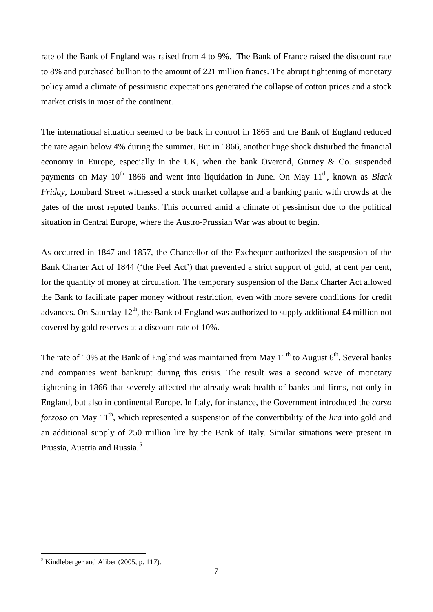rate of the Bank of England was raised from 4 to 9%. The Bank of France raised the discount rate to 8% and purchased bullion to the amount of 221 million francs. The abrupt tightening of monetary policy amid a climate of pessimistic expectations generated the collapse of cotton prices and a stock market crisis in most of the continent.

The international situation seemed to be back in control in 1865 and the Bank of England reduced the rate again below 4% during the summer. But in 1866, another huge shock disturbed the financial economy in Europe, especially in the UK, when the bank Overend, Gurney & Co. suspended payments on May 10<sup>th</sup> 1866 and went into liquidation in June. On May 11<sup>th</sup>, known as *Black Friday*, Lombard Street witnessed a stock market collapse and a banking panic with crowds at the gates of the most reputed banks. This occurred amid a climate of pessimism due to the political situation in Central Europe, where the Austro-Prussian War was about to begin.

As occurred in 1847 and 1857, the Chancellor of the Exchequer authorized the suspension of the Bank Charter Act of 1844 ('the Peel Act') that prevented a strict support of gold, at cent per cent, for the quantity of money at circulation. The temporary suspension of the Bank Charter Act allowed the Bank to facilitate paper money without restriction, even with more severe conditions for credit advances. On Saturday  $12<sup>th</sup>$ , the Bank of England was authorized to supply additional £4 million not covered by gold reserves at a discount rate of 10%.

The rate of 10% at the Bank of England was maintained from May  $11<sup>th</sup>$  to August  $6<sup>th</sup>$ . Several banks and companies went bankrupt during this crisis. The result was a second wave of monetary tightening in 1866 that severely affected the already weak health of banks and firms, not only in England, but also in continental Europe. In Italy, for instance, the Government introduced the *corso forzoso* on May 11<sup>th</sup>, which represented a suspension of the convertibility of the *lira* into gold and an additional supply of 250 million lire by the Bank of Italy. Similar situations were present in Prussia, Austria and Russia.<sup>[5](#page-8-0)</sup>

<span id="page-8-0"></span> $<sup>5</sup>$  Kindleberger and Aliber (2005, p. 117).</sup>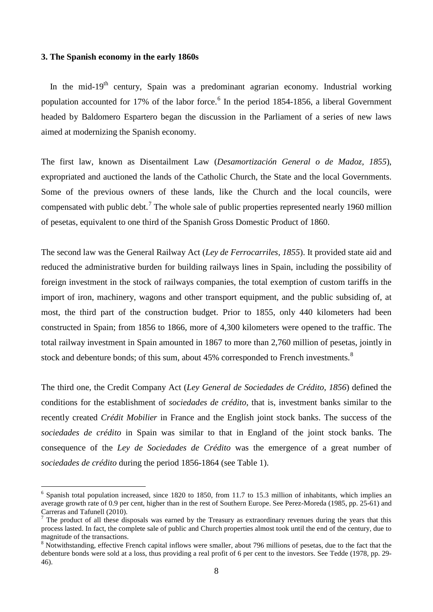#### **3. The Spanish economy in the early 1860s**

In the mid-19<sup>th</sup> century, Spain was a predominant agrarian economy. Industrial working population accounted for 17% of the labor force.<sup>[6](#page-9-0)</sup> In the period 1854-1856, a liberal Government headed by Baldomero Espartero began the discussion in the Parliament of a series of new laws aimed at modernizing the Spanish economy.

The first law, known as Disentailment Law (*Desamortización General o de Madoz, 1855*), expropriated and auctioned the lands of the Catholic Church, the State and the local Governments. Some of the previous owners of these lands, like the Church and the local councils, were compensated with public debt.<sup>[7](#page-9-1)</sup> The whole sale of public properties represented nearly 1960 million of pesetas, equivalent to one third of the Spanish Gross Domestic Product of 1860.

The second law was the General Railway Act (*Ley de Ferrocarriles, 1855*). It provided state aid and reduced the administrative burden for building railways lines in Spain, including the possibility of foreign investment in the stock of railways companies, the total exemption of custom tariffs in the import of iron, machinery, wagons and other transport equipment, and the public subsiding of, at most, the third part of the construction budget. Prior to 1855, only 440 kilometers had been constructed in Spain; from 1856 to 1866, more of 4,300 kilometers were opened to the traffic. The total railway investment in Spain amounted in 1867 to more than 2,760 million of pesetas, jointly in stock and debenture bonds; of this sum, about 45% corresponded to French investments.<sup>[8](#page-9-2)</sup>

The third one, the Credit Company Act (*Ley General de Sociedades de Crédito, 1856*) defined the conditions for the establishment of *sociedades de crédito*, that is, investment banks similar to the recently created *Crédit Mobilier* in France and the English joint stock banks. The success of the *sociedades de crédito* in Spain was similar to that in England of the joint stock banks. The consequence of the *Ley de Sociedades de Crédito* was the emergence of a great number of *sociedades de crédito* during the period 1856-1864 (see Table 1).

<span id="page-9-0"></span> $6$  Spanish total population increased, since 1820 to 1850, from 11.7 to 15.3 million of inhabitants, which implies an average growth rate of 0.9 per cent, higher than in the rest of Southern Europe. See Perez-Moreda (1985, pp. 25-61) and Carreras and Tafunell (2010).

<span id="page-9-1"></span><sup>&</sup>lt;sup>7</sup> The product of all these disposals was earned by the Treasury as extraordinary revenues during the years that this process lasted. In fact, the complete sale of public and Church properties almost took until the end of the century, due to magnitude of the transactions.<br><sup>8</sup> Notwithstanding, effective French capital inflows were smaller, about 796 millions of pesetas, due to the fact that the

<span id="page-9-2"></span>debenture bonds were sold at a loss, thus providing a real profit of 6 per cent to the investors. See Tedde (1978, pp. 29- 46).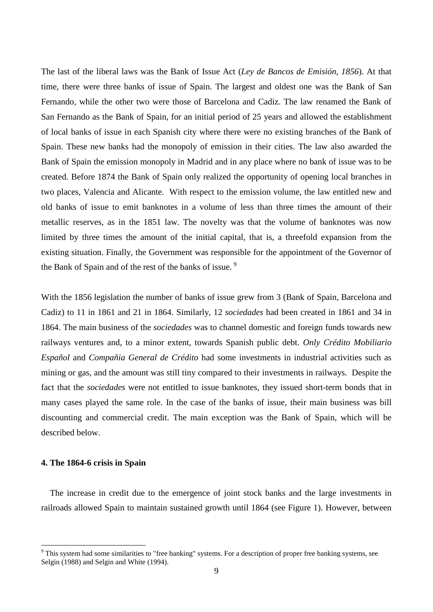The last of the liberal laws was the Bank of Issue Act (*Ley de Bancos de Emisión, 1856*). At that time, there were three banks of issue of Spain. The largest and oldest one was the Bank of San Fernando, while the other two were those of Barcelona and Cadiz. The law renamed the Bank of San Fernando as the Bank of Spain, for an initial period of 25 years and allowed the establishment of local banks of issue in each Spanish city where there were no existing branches of the Bank of Spain. These new banks had the monopoly of emission in their cities. The law also awarded the Bank of Spain the emission monopoly in Madrid and in any place where no bank of issue was to be created. Before 1874 the Bank of Spain only realized the opportunity of opening local branches in two places, Valencia and Alicante. With respect to the emission volume, the law entitled new and old banks of issue to emit banknotes in a volume of less than three times the amount of their metallic reserves, as in the 1851 law. The novelty was that the volume of banknotes was now limited by three times the amount of the initial capital, that is, a threefold expansion from the existing situation. Finally, the Government was responsible for the appointment of the Governor of the Bank of Spain and of the rest of the banks of issue.<sup>[9](#page-10-0)</sup>

With the 1856 legislation the number of banks of issue grew from 3 (Bank of Spain, Barcelona and Cadiz) to 11 in 1861 and 21 in 1864. Similarly, 12 *sociedades* had been created in 1861 and 34 in 1864. The main business of the *sociedades* was to channel domestic and foreign funds towards new railways ventures and, to a minor extent, towards Spanish public debt. *Only Crédito Mobiliario Español* and *Compañia General de Crédito* had some investments in industrial activities such as mining or gas, and the amount was still tiny compared to their investments in railways. Despite the fact that the *sociedades* were not entitled to issue banknotes, they issued short-term bonds that in many cases played the same role. In the case of the banks of issue, their main business was bill discounting and commercial credit. The main exception was the Bank of Spain, which will be described below.

### **4. The 1864-6 crisis in Spain**

 The increase in credit due to the emergence of joint stock banks and the large investments in railroads allowed Spain to maintain sustained growth until 1864 (see Figure 1). However, between

<span id="page-10-0"></span><sup>&</sup>lt;sup>9</sup> This system had some similarities to "free banking" systems. For a description of proper free banking systems, see Selgin (1988) and Selgin and White (1994).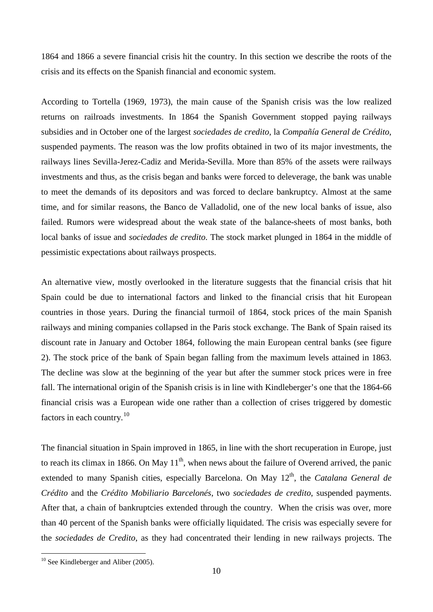1864 and 1866 a severe financial crisis hit the country. In this section we describe the roots of the crisis and its effects on the Spanish financial and economic system.

According to Tortella (1969, 1973), the main cause of the Spanish crisis was the low realized returns on railroads investments. In 1864 the Spanish Government stopped paying railways subsidies and in October one of the largest *sociedades de credito*, la *Compañía General de Crédito*, suspended payments. The reason was the low profits obtained in two of its major investments, the railways lines Sevilla-Jerez-Cadiz and Merida-Sevilla. More than 85% of the assets were railways investments and thus, as the crisis began and banks were forced to deleverage, the bank was unable to meet the demands of its depositors and was forced to declare bankruptcy. Almost at the same time, and for similar reasons, the Banco de Valladolid, one of the new local banks of issue, also failed. Rumors were widespread about the weak state of the balance-sheets of most banks, both local banks of issue and *sociedades de credito*. The stock market plunged in 1864 in the middle of pessimistic expectations about railways prospects.

An alternative view, mostly overlooked in the literature suggests that the financial crisis that hit Spain could be due to international factors and linked to the financial crisis that hit European countries in those years. During the financial turmoil of 1864, stock prices of the main Spanish railways and mining companies collapsed in the Paris stock exchange. The Bank of Spain raised its discount rate in January and October 1864, following the main European central banks (see figure 2). The stock price of the bank of Spain began falling from the maximum levels attained in 1863. The decline was slow at the beginning of the year but after the summer stock prices were in free fall. The international origin of the Spanish crisis is in line with Kindleberger's one that the 1864-66 financial crisis was a European wide one rather than a collection of crises triggered by domestic factors in each country.[10](#page-11-0)

The financial situation in Spain improved in 1865, in line with the short recuperation in Europe, just to reach its climax in 1866. On May  $11<sup>th</sup>$ , when news about the failure of Overend arrived, the panic extended to many Spanish cities, especially Barcelona. On May 12<sup>th</sup>, the *Catalana General de Crédito* and the *Crédito Mobiliario Barcelonés*, two *sociedades de credito*, suspended payments. After that, a chain of bankruptcies extended through the country. When the crisis was over, more than 40 percent of the Spanish banks were officially liquidated. The crisis was especially severe for the *sociedades de Credito*, as they had concentrated their lending in new railways projects. The

<span id="page-11-0"></span> $10$  See Kindleberger and Aliber (2005).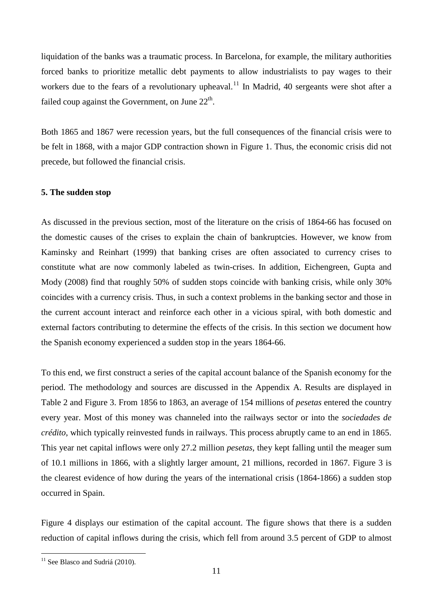liquidation of the banks was a traumatic process. In Barcelona, for example, the military authorities forced banks to prioritize metallic debt payments to allow industrialists to pay wages to their workers due to the fears of a revolutionary upheaval.<sup>[11](#page-12-0)</sup> In Madrid, 40 sergeants were shot after a failed coup against the Government, on June  $22<sup>th</sup>$ .

Both 1865 and 1867 were recession years, but the full consequences of the financial crisis were to be felt in 1868, with a major GDP contraction shown in Figure 1. Thus, the economic crisis did not precede, but followed the financial crisis.

## **5. The sudden stop**

As discussed in the previous section, most of the literature on the crisis of 1864-66 has focused on the domestic causes of the crises to explain the chain of bankruptcies. However, we know from Kaminsky and Reinhart (1999) that banking crises are often associated to currency crises to constitute what are now commonly labeled as twin-crises. In addition, Eichengreen, Gupta and Mody (2008) find that roughly 50% of sudden stops coincide with banking crisis, while only 30% coincides with a currency crisis. Thus, in such a context problems in the banking sector and those in the current account interact and reinforce each other in a vicious spiral, with both domestic and external factors contributing to determine the effects of the crisis. In this section we document how the Spanish economy experienced a sudden stop in the years 1864-66.

To this end, we first construct a series of the capital account balance of the Spanish economy for the period. The methodology and sources are discussed in the Appendix A. Results are displayed in Table 2 and Figure 3. From 1856 to 1863, an average of 154 millions of *pesetas* entered the country every year. Most of this money was channeled into the railways sector or into the *sociedades de crédito*, which typically reinvested funds in railways. This process abruptly came to an end in 1865. This year net capital inflows were only 27.2 million *pesetas*, they kept falling until the meager sum of 10.1 millions in 1866, with a slightly larger amount, 21 millions, recorded in 1867. Figure 3 is the clearest evidence of how during the years of the international crisis (1864-1866) a sudden stop occurred in Spain.

Figure 4 displays our estimation of the capital account. The figure shows that there is a sudden reduction of capital inflows during the crisis, which fell from around 3.5 percent of GDP to almost

<span id="page-12-0"></span> $11$  See Blasco and Sudriá (2010).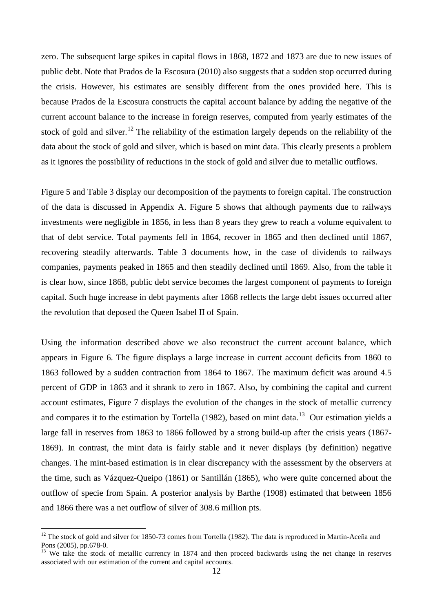zero. The subsequent large spikes in capital flows in 1868, 1872 and 1873 are due to new issues of public debt. Note that Prados de la Escosura (2010) also suggests that a sudden stop occurred during the crisis. However, his estimates are sensibly different from the ones provided here. This is because Prados de la Escosura constructs the capital account balance by adding the negative of the current account balance to the increase in foreign reserves, computed from yearly estimates of the stock of gold and silver.<sup>[12](#page-13-0)</sup> The reliability of the estimation largely depends on the reliability of the data about the stock of gold and silver, which is based on mint data. This clearly presents a problem as it ignores the possibility of reductions in the stock of gold and silver due to metallic outflows.

Figure 5 and Table 3 display our decomposition of the payments to foreign capital. The construction of the data is discussed in Appendix A. Figure 5 shows that although payments due to railways investments were negligible in 1856, in less than 8 years they grew to reach a volume equivalent to that of debt service. Total payments fell in 1864, recover in 1865 and then declined until 1867, recovering steadily afterwards. Table 3 documents how, in the case of dividends to railways companies, payments peaked in 1865 and then steadily declined until 1869. Also, from the table it is clear how, since 1868, public debt service becomes the largest component of payments to foreign capital. Such huge increase in debt payments after 1868 reflects the large debt issues occurred after the revolution that deposed the Queen Isabel II of Spain.

Using the information described above we also reconstruct the current account balance, which appears in Figure 6. The figure displays a large increase in current account deficits from 1860 to 1863 followed by a sudden contraction from 1864 to 1867. The maximum deficit was around 4.5 percent of GDP in 1863 and it shrank to zero in 1867. Also, by combining the capital and current account estimates, Figure 7 displays the evolution of the changes in the stock of metallic currency and compares it to the estimation by Tortella (1982), based on mint data.<sup>[13](#page-13-1)</sup> Our estimation yields a large fall in reserves from 1863 to 1866 followed by a strong build-up after the crisis years (1867- 1869). In contrast, the mint data is fairly stable and it never displays (by definition) negative changes. The mint-based estimation is in clear discrepancy with the assessment by the observers at the time, such as Vázquez-Queipo (1861) or Santillán (1865), who were quite concerned about the outflow of specie from Spain. A posterior analysis by Barthe (1908) estimated that between 1856 and 1866 there was a net outflow of silver of 308.6 million pts.

<span id="page-13-0"></span><sup>&</sup>lt;sup>12</sup> The stock of gold and silver for 1850-73 comes from Tortella (1982). The data is reproduced in Martin-Aceña and Pons (2005), pp.678-0.

<span id="page-13-1"></span> $13$  We take the stock of metallic currency in 1874 and then proceed backwards using the net change in reserves associated with our estimation of the current and capital accounts.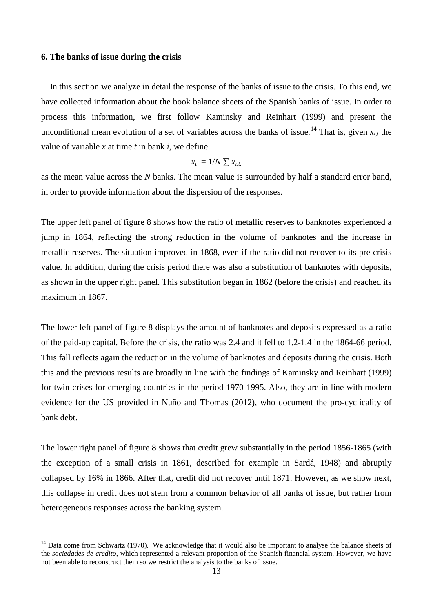### **6. The banks of issue during the crisis**

 In this section we analyze in detail the response of the banks of issue to the crisis. To this end, we have collected information about the book balance sheets of the Spanish banks of issue. In order to process this information, we first follow Kaminsky and Reinhart (1999) and present the unconditional mean evolution of a set of variables across the banks of issue.<sup>[14](#page-14-0)</sup> That is, given  $x_{i,t}$  the value of variable *x* at time *t* in bank *i*, we define

$$
x_t = 1/N \sum x_{i,t}
$$

as the mean value across the *N* banks. The mean value is surrounded by half a standard error band, in order to provide information about the dispersion of the responses.

The upper left panel of figure 8 shows how the ratio of metallic reserves to banknotes experienced a jump in 1864, reflecting the strong reduction in the volume of banknotes and the increase in metallic reserves. The situation improved in 1868, even if the ratio did not recover to its pre-crisis value. In addition, during the crisis period there was also a substitution of banknotes with deposits, as shown in the upper right panel. This substitution began in 1862 (before the crisis) and reached its maximum in 1867.

The lower left panel of figure 8 displays the amount of banknotes and deposits expressed as a ratio of the paid-up capital. Before the crisis, the ratio was 2.4 and it fell to 1.2-1.4 in the 1864-66 period. This fall reflects again the reduction in the volume of banknotes and deposits during the crisis. Both this and the previous results are broadly in line with the findings of Kaminsky and Reinhart (1999) for twin-crises for emerging countries in the period 1970-1995. Also, they are in line with modern evidence for the US provided in Nuño and Thomas (2012), who document the pro-cyclicality of bank debt.

The lower right panel of figure 8 shows that credit grew substantially in the period 1856-1865 (with the exception of a small crisis in 1861, described for example in Sardá, 1948) and abruptly collapsed by 16% in 1866. After that, credit did not recover until 1871. However, as we show next, this collapse in credit does not stem from a common behavior of all banks of issue, but rather from heterogeneous responses across the banking system.

<span id="page-14-0"></span><sup>&</sup>lt;sup>14</sup> Data come from Schwartz (1970). We acknowledge that it would also be important to analyse the balance sheets of the *sociedades de credito*, which represented a relevant proportion of the Spanish financial system. However, we have not been able to reconstruct them so we restrict the analysis to the banks of issue.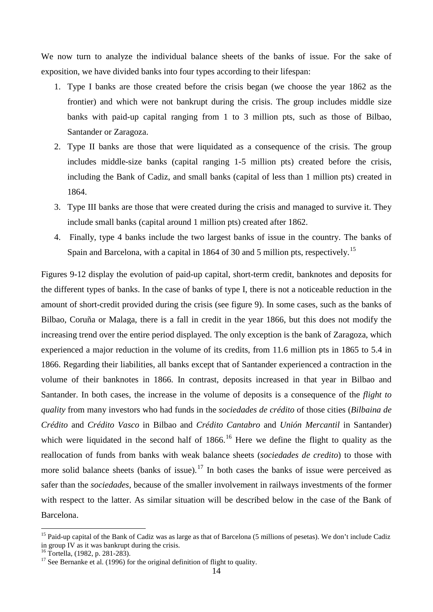We now turn to analyze the individual balance sheets of the banks of issue. For the sake of exposition, we have divided banks into four types according to their lifespan:

- 1. Type I banks are those created before the crisis began (we choose the year 1862 as the frontier) and which were not bankrupt during the crisis. The group includes middle size banks with paid-up capital ranging from 1 to 3 million pts, such as those of Bilbao, Santander or Zaragoza.
- 2. Type II banks are those that were liquidated as a consequence of the crisis. The group includes middle-size banks (capital ranging 1-5 million pts) created before the crisis, including the Bank of Cadiz, and small banks (capital of less than 1 million pts) created in 1864.
- 3. Type III banks are those that were created during the crisis and managed to survive it. They include small banks (capital around 1 million pts) created after 1862.
- 4. Finally, type 4 banks include the two largest banks of issue in the country. The banks of Spain and Barcelona, with a capital in 1864 of 30 and 5 million pts, respectively.<sup>[15](#page-15-0)</sup>

Figures 9-12 display the evolution of paid-up capital, short-term credit, banknotes and deposits for the different types of banks. In the case of banks of type I, there is not a noticeable reduction in the amount of short-credit provided during the crisis (see figure 9). In some cases, such as the banks of Bilbao, Coruña or Malaga, there is a fall in credit in the year 1866, but this does not modify the increasing trend over the entire period displayed. The only exception is the bank of Zaragoza, which experienced a major reduction in the volume of its credits, from 11.6 million pts in 1865 to 5.4 in 1866. Regarding their liabilities, all banks except that of Santander experienced a contraction in the volume of their banknotes in 1866. In contrast, deposits increased in that year in Bilbao and Santander. In both cases, the increase in the volume of deposits is a consequence of the *flight to quality* from many investors who had funds in the *sociedades de crédito* of those cities (*Bilbaina de Crédito* and *Crédito Vasco* in Bilbao and *Crédito Cantabro* and *Unión Mercantil* in Santander) which were liquidated in the second half of  $1866$ .<sup>[16](#page-15-1)</sup> Here we define the flight to quality as the reallocation of funds from banks with weak balance sheets (*sociedades de credito*) to those with more solid balance sheets (banks of issue).<sup>[17](#page-15-2)</sup> In both cases the banks of issue were perceived as safer than the *sociedades*, because of the smaller involvement in railways investments of the former with respect to the latter. As similar situation will be described below in the case of the Bank of Barcelona.

<span id="page-15-0"></span><sup>&</sup>lt;sup>15</sup> Paid-up capital of the Bank of Cadiz was as large as that of Barcelona (5 millions of pesetas). We don't include Cadiz in group IV as it was bankrupt during the crisis.<br><sup>16</sup> Tortella,  $(1982, p. 281-283)$ .

<span id="page-15-1"></span>

<span id="page-15-2"></span><sup>&</sup>lt;sup>17</sup> See Bernanke et al. (1996) for the original definition of flight to quality.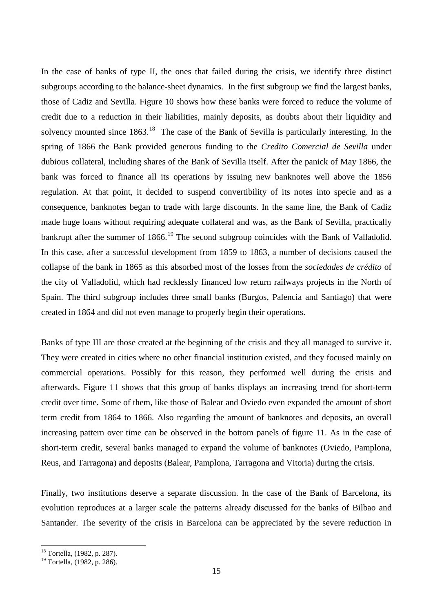In the case of banks of type II, the ones that failed during the crisis, we identify three distinct subgroups according to the balance-sheet dynamics. In the first subgroup we find the largest banks, those of Cadiz and Sevilla. Figure 10 shows how these banks were forced to reduce the volume of credit due to a reduction in their liabilities, mainly deposits, as doubts about their liquidity and solvency mounted since  $1863$  $1863$ <sup>18</sup>. The case of the Bank of Sevilla is particularly interesting. In the spring of 1866 the Bank provided generous funding to the *Credito Comercial de Sevilla* under dubious collateral, including shares of the Bank of Sevilla itself. After the panick of May 1866, the bank was forced to finance all its operations by issuing new banknotes well above the 1856 regulation. At that point, it decided to suspend convertibility of its notes into specie and as a consequence, banknotes began to trade with large discounts. In the same line, the Bank of Cadiz made huge loans without requiring adequate collateral and was, as the Bank of Sevilla, practically bankrupt after the summer of 1866.<sup>[19](#page-16-1)</sup> The second subgroup coincides with the Bank of Valladolid. In this case, after a successful development from 1859 to 1863, a number of decisions caused the collapse of the bank in 1865 as this absorbed most of the losses from the *sociedades de crédito* of the city of Valladolid, which had recklessly financed low return railways projects in the North of Spain. The third subgroup includes three small banks (Burgos, Palencia and Santiago) that were created in 1864 and did not even manage to properly begin their operations.

Banks of type III are those created at the beginning of the crisis and they all managed to survive it. They were created in cities where no other financial institution existed, and they focused mainly on commercial operations. Possibly for this reason, they performed well during the crisis and afterwards. Figure 11 shows that this group of banks displays an increasing trend for short-term credit over time. Some of them, like those of Balear and Oviedo even expanded the amount of short term credit from 1864 to 1866. Also regarding the amount of banknotes and deposits, an overall increasing pattern over time can be observed in the bottom panels of figure 11. As in the case of short-term credit, several banks managed to expand the volume of banknotes (Oviedo, Pamplona, Reus, and Tarragona) and deposits (Balear, Pamplona, Tarragona and Vitoria) during the crisis.

Finally, two institutions deserve a separate discussion. In the case of the Bank of Barcelona, its evolution reproduces at a larger scale the patterns already discussed for the banks of Bilbao and Santander. The severity of the crisis in Barcelona can be appreciated by the severe reduction in

<span id="page-16-0"></span> <sup>18</sup> Tortella, (1982, p. 287).

<span id="page-16-1"></span><sup>&</sup>lt;sup>19</sup> Tortella, (1982, p. 286).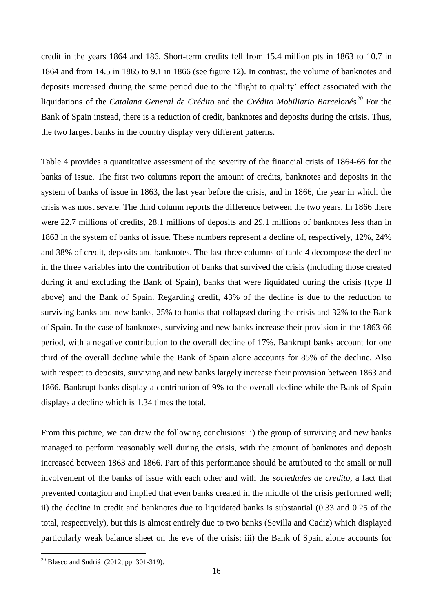credit in the years 1864 and 186. Short-term credits fell from 15.4 million pts in 1863 to 10.7 in 1864 and from 14.5 in 1865 to 9.1 in 1866 (see figure 12). In contrast, the volume of banknotes and deposits increased during the same period due to the 'flight to quality' effect associated with the liquidations of the *Catalana General de Crédito* and the *Crédito Mobiliario Barcelonés[20](#page-17-0)* For the Bank of Spain instead, there is a reduction of credit, banknotes and deposits during the crisis. Thus, the two largest banks in the country display very different patterns.

Table 4 provides a quantitative assessment of the severity of the financial crisis of 1864-66 for the banks of issue. The first two columns report the amount of credits, banknotes and deposits in the system of banks of issue in 1863, the last year before the crisis, and in 1866, the year in which the crisis was most severe. The third column reports the difference between the two years. In 1866 there were 22.7 millions of credits, 28.1 millions of deposits and 29.1 millions of banknotes less than in 1863 in the system of banks of issue. These numbers represent a decline of, respectively, 12%, 24% and 38% of credit, deposits and banknotes. The last three columns of table 4 decompose the decline in the three variables into the contribution of banks that survived the crisis (including those created during it and excluding the Bank of Spain), banks that were liquidated during the crisis (type II above) and the Bank of Spain. Regarding credit, 43% of the decline is due to the reduction to surviving banks and new banks, 25% to banks that collapsed during the crisis and 32% to the Bank of Spain. In the case of banknotes, surviving and new banks increase their provision in the 1863-66 period, with a negative contribution to the overall decline of 17%. Bankrupt banks account for one third of the overall decline while the Bank of Spain alone accounts for 85% of the decline. Also with respect to deposits, surviving and new banks largely increase their provision between 1863 and 1866. Bankrupt banks display a contribution of 9% to the overall decline while the Bank of Spain displays a decline which is 1.34 times the total.

From this picture, we can draw the following conclusions: i) the group of surviving and new banks managed to perform reasonably well during the crisis, with the amount of banknotes and deposit increased between 1863 and 1866. Part of this performance should be attributed to the small or null involvement of the banks of issue with each other and with the *sociedades de credito*, a fact that prevented contagion and implied that even banks created in the middle of the crisis performed well; ii) the decline in credit and banknotes due to liquidated banks is substantial (0.33 and 0.25 of the total, respectively), but this is almost entirely due to two banks (Sevilla and Cadiz) which displayed particularly weak balance sheet on the eve of the crisis; iii) the Bank of Spain alone accounts for

<span id="page-17-0"></span> $^{20}$  Blasco and Sudriá (2012, pp. 301-319).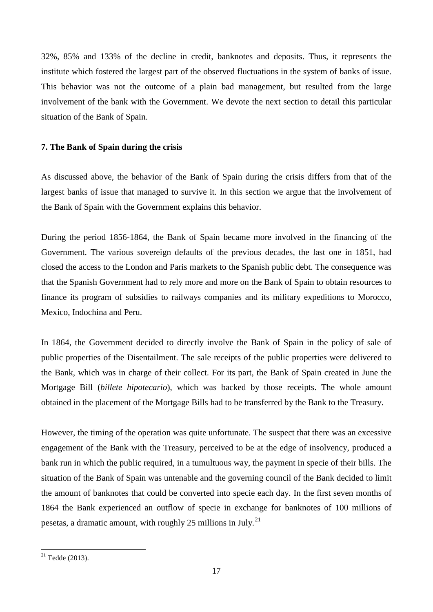32%, 85% and 133% of the decline in credit, banknotes and deposits. Thus, it represents the institute which fostered the largest part of the observed fluctuations in the system of banks of issue. This behavior was not the outcome of a plain bad management, but resulted from the large involvement of the bank with the Government. We devote the next section to detail this particular situation of the Bank of Spain.

## **7. The Bank of Spain during the crisis**

As discussed above, the behavior of the Bank of Spain during the crisis differs from that of the largest banks of issue that managed to survive it. In this section we argue that the involvement of the Bank of Spain with the Government explains this behavior.

During the period 1856-1864, the Bank of Spain became more involved in the financing of the Government. The various sovereign defaults of the previous decades, the last one in 1851, had closed the access to the London and Paris markets to the Spanish public debt. The consequence was that the Spanish Government had to rely more and more on the Bank of Spain to obtain resources to finance its program of subsidies to railways companies and its military expeditions to Morocco, Mexico, Indochina and Peru.

In 1864, the Government decided to directly involve the Bank of Spain in the policy of sale of public properties of the Disentailment. The sale receipts of the public properties were delivered to the Bank, which was in charge of their collect. For its part, the Bank of Spain created in June the Mortgage Bill (*billete hipotecario*), which was backed by those receipts. The whole amount obtained in the placement of the Mortgage Bills had to be transferred by the Bank to the Treasury.

However, the timing of the operation was quite unfortunate. The suspect that there was an excessive engagement of the Bank with the Treasury, perceived to be at the edge of insolvency, produced a bank run in which the public required, in a tumultuous way, the payment in specie of their bills. The situation of the Bank of Spain was untenable and the governing council of the Bank decided to limit the amount of banknotes that could be converted into specie each day. In the first seven months of 1864 the Bank experienced an outflow of specie in exchange for banknotes of 100 millions of pesetas, a dramatic amount, with roughly 25 millions in July.<sup>[21](#page-18-0)</sup>

<span id="page-18-0"></span> $21$  Tedde (2013).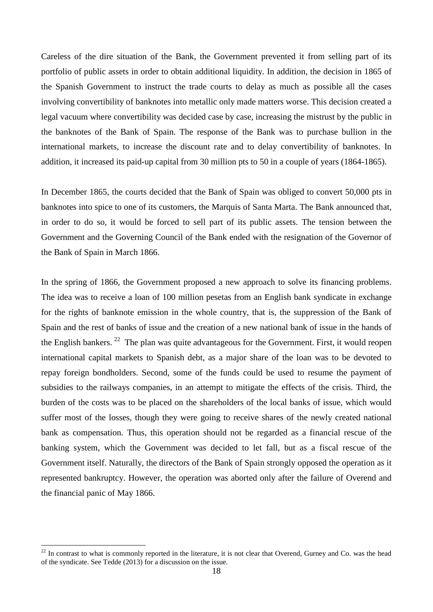Careless of the dire situation of the Bank, the Government prevented it from selling part of its portfolio of public assets in order to obtain additional liquidity. In addition, the decision in 1865 of the Spanish Government to instruct the trade courts to delay as much as possible all the cases involving convertibility of banknotes into metallic only made matters worse. This decision created a legal vacuum where convertibility was decided case by case, increasing the mistrust by the public in the banknotes of the Bank of Spain. The response of the Bank was to purchase bullion in the international markets, to increase the discount rate and to delay convertibility of banknotes. In addition, it increased its paid-up capital from 30 million pts to 50 in a couple of years (1864-1865).

In December 1865, the courts decided that the Bank of Spain was obliged to convert 50,000 pts in banknotes into spice to one of its customers, the Marquis of Santa Marta. The Bank announced that, in order to do so, it would be forced to sell part of its public assets. The tension between the Government and the Governing Council of the Bank ended with the resignation of the Governor of the Bank of Spain in March 1866.

In the spring of 1866, the Government proposed a new approach to solve its financing problems. The idea was to receive a loan of 100 million pesetas from an English bank syndicate in exchange for the rights of banknote emission in the whole country, that is, the suppression of the Bank of Spain and the rest of banks of issue and the creation of a new national bank of issue in the hands of the English bankers.  $^{22}$  $^{22}$  $^{22}$  The plan was quite advantageous for the Government. First, it would reopen international capital markets to Spanish debt, as a major share of the loan was to be devoted to repay foreign bondholders. Second, some of the funds could be used to resume the payment of subsidies to the railways companies, in an attempt to mitigate the effects of the crisis. Third, the burden of the costs was to be placed on the shareholders of the local banks of issue, which would suffer most of the losses, though they were going to receive shares of the newly created national bank as compensation. Thus, this operation should not be regarded as a financial rescue of the banking system, which the Government was decided to let fall, but as a fiscal rescue of the Government itself. Naturally, the directors of the Bank of Spain strongly opposed the operation as it represented bankruptcy. However, the operation was aborted only after the failure of Overend and the financial panic of May 1866.

<span id="page-19-0"></span> $22$  In contrast to what is commonly reported in the literature, it is not clear that Overend, Gurney and Co. was the head of the syndicate. See Tedde (2013) for a discussion on the issue.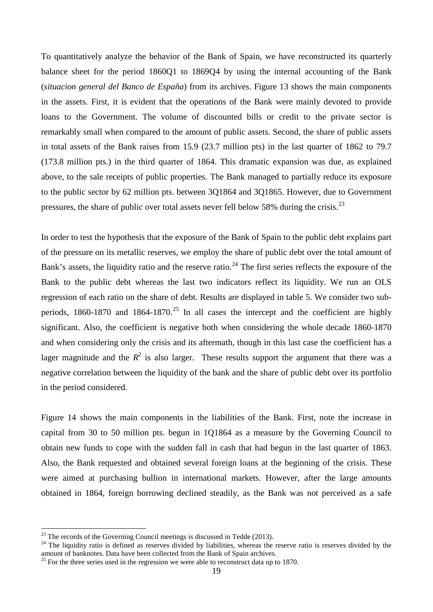To quantitatively analyze the behavior of the Bank of Spain, we have reconstructed its quarterly balance sheet for the period 1860Q1 to 1869Q4 by using the internal accounting of the Bank (*situacion general del Banco de España*) from its archives. Figure 13 shows the main components in the assets. First, it is evident that the operations of the Bank were mainly devoted to provide loans to the Government. The volume of discounted bills or credit to the private sector is remarkably small when compared to the amount of public assets. Second, the share of public assets in total assets of the Bank raises from 15.9 (23.7 million pts) in the last quarter of 1862 to 79.7 (173.8 million pts.) in the third quarter of 1864. This dramatic expansion was due, as explained above, to the sale receipts of public properties. The Bank managed to partially reduce its exposure to the public sector by 62 million pts. between 3Q1864 and 3Q1865. However, due to Government pressures, the share of public over total assets never fell below 58% during the crisis.<sup>[23](#page-20-0)</sup>

In order to test the hypothesis that the exposure of the Bank of Spain to the public debt explains part of the pressure on its metallic reserves, we employ the share of public debt over the total amount of Bank's assets, the liquidity ratio and the reserve ratio.<sup>[24](#page-20-1)</sup> The first series reflects the exposure of the Bank to the public debt whereas the last two indicators reflect its liquidity. We run an OLS regression of each ratio on the share of debt. Results are displayed in table 5. We consider two sub-periods, 1860-1870 and 1864-1870.<sup>[25](#page-20-2)</sup> In all cases the intercept and the coefficient are highly significant. Also, the coefficient is negative both when considering the whole decade 1860-1870 and when considering only the crisis and its aftermath, though in this last case the coefficient has a lager magnitude and the  $R^2$  is also larger. These results support the argument that there was a negative correlation between the liquidity of the bank and the share of public debt over its portfolio in the period considered.

Figure 14 shows the main components in the liabilities of the Bank. First, note the increase in capital from 30 to 50 million pts. begun in 1Q1864 as a measure by the Governing Council to obtain new funds to cope with the sudden fall in cash that had begun in the last quarter of 1863. Also, the Bank requested and obtained several foreign loans at the beginning of the crisis. These were aimed at purchasing bullion in international markets. However, after the large amounts obtained in 1864, foreign borrowing declined steadily, as the Bank was not perceived as a safe

<span id="page-20-1"></span><span id="page-20-0"></span><sup>&</sup>lt;sup>23</sup> The records of the Governing Council meetings is discussed in Tedde (2013).<br><sup>24</sup> The liquidity ratio is defined as reserves divided by liabilities, whereas the reserve ratio is reserves divided by the amount of bankn

<span id="page-20-2"></span> $25$  For the three series used in the regression we were able to reconstruct data up to 1870.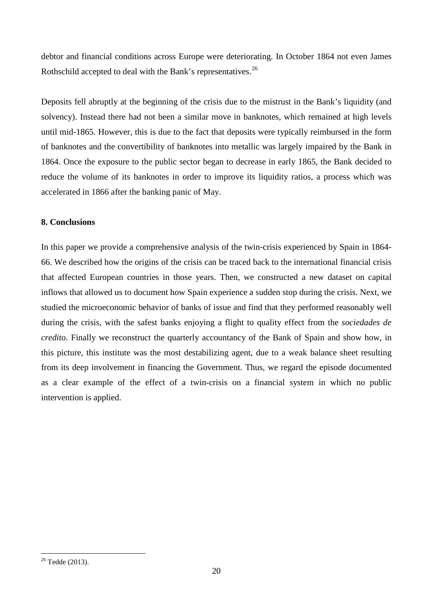debtor and financial conditions across Europe were deteriorating. In October 1864 not even James Rothschild accepted to deal with the Bank's representatives.<sup>[26](#page-21-0)</sup>

Deposits fell abruptly at the beginning of the crisis due to the mistrust in the Bank's liquidity (and solvency). Instead there had not been a similar move in banknotes, which remained at high levels until mid-1865. However, this is due to the fact that deposits were typically reimbursed in the form of banknotes and the convertibility of banknotes into metallic was largely impaired by the Bank in 1864. Once the exposure to the public sector began to decrease in early 1865, the Bank decided to reduce the volume of its banknotes in order to improve its liquidity ratios, a process which was accelerated in 1866 after the banking panic of May.

## **8. Conclusions**

In this paper we provide a comprehensive analysis of the twin-crisis experienced by Spain in 1864- 66. We described how the origins of the crisis can be traced back to the international financial crisis that affected European countries in those years. Then, we constructed a new dataset on capital inflows that allowed us to document how Spain experience a sudden stop during the crisis. Next, we studied the microeconomic behavior of banks of issue and find that they performed reasonably well during the crisis, with the safest banks enjoying a flight to quality effect from the *sociedades de credito*. Finally we reconstruct the quarterly accountancy of the Bank of Spain and show how, in this picture, this institute was the most destabilizing agent, due to a weak balance sheet resulting from its deep involvement in financing the Government. Thus, we regard the episode documented as a clear example of the effect of a twin-crisis on a financial system in which no public intervention is applied.

<span id="page-21-0"></span> <sup>26</sup> Tedde (2013).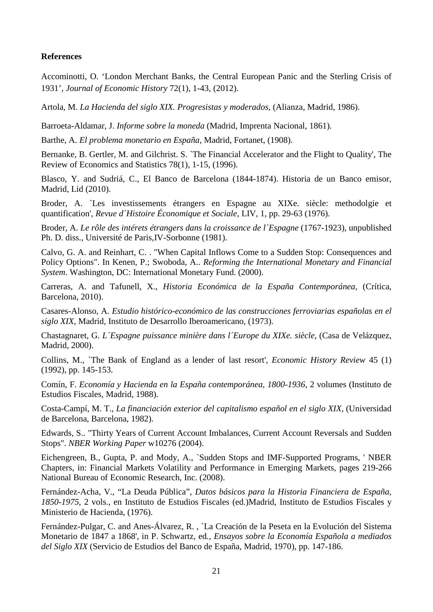## **References**

Accominotti, O. 'London Merchant Banks, the Central European Panic and the Sterling Crisis of 1931', *Journal of Economic History* 72(1), 1-43, (2012).

Artola, M. *La Hacienda del siglo XIX. Progresistas y moderados*, (Alianza, Madrid, 1986).

Barroeta-Aldamar, J. *Informe sobre la moneda* (Madrid, Imprenta Nacional, 1861).

Barthe, A. *El problema monetario en España*, Madrid, Fortanet, (1908).

Bernanke, B. Gertler, M. and Gilchrist. S. `The Financial Accelerator and the Flight to Quality', The Review of Economics and Statistics 78(1), 1-15, (1996).

Blasco, Y. and Sudriá, C., El Banco de Barcelona (1844-1874). Historia de un Banco emisor, Madrid, Lid (2010).

Broder, A. `Les investissements étrangers en Espagne au XIXe. siècle: methodolgie et quantification', *Revue d´Histoire Économique et Sociale*, LIV, 1, pp. 29-63 (1976).

Broder, A. *Le rôle des intérets étrangers dans la croissance de l´Espagne* (1767-1923), unpublished Ph. D. diss., Université de Paris,IV-Sorbonne (1981).

Calvo, G. A. and Reinhart, C. . "When Capital Inflows Come to a Sudden Stop: Consequences and Policy Options". In Kenen, P.; Swoboda, A.. *Reforming the International Monetary and Financial System*. Washington, DC: International Monetary Fund. (2000).

Carreras, A. and Tafunell, X., *Historia Económica de la España Contemporánea*, (Crítica, Barcelona, 2010).

Casares-Alonso, A. *Estudio histórico-económico de las construcciones ferroviarias españolas en el siglo XIX*, Madrid, Instituto de Desarrollo Iberoamericano, (1973).

Chastagnaret, G. *L´Espagne puissance minière dans l´Europe du XIXe. siècle*, (Casa de Velázquez, Madrid, 2000).

Collins, M., `The Bank of England as a lender of last resort', *Economic History Review* 45 (1) (1992), pp. 145-153.

Comín, F. *Economía y Hacienda en la España contemporánea, 1800-1936*, 2 volumes (Instituto de Estudios Fiscales, Madrid, 1988).

Costa-Campí, M. T., *La financiación exterior del capitalismo español en el siglo XIX*, (Universidad de Barcelona, Barcelona, 1982).

Edwards, S.. "Thirty Years of Current Account Imbalances, Current Account Reversals and Sudden Stops". *NBER Working Paper* w10276 (2004).

Eichengreen, B., Gupta, P. and Mody, A., `Sudden Stops and IMF-Supported Programs, ' NBER Chapters, in: Financial Markets Volatility and Performance in Emerging Markets, pages 219-266 National Bureau of Economic Research, Inc. (2008).

Fernández-Acha, V., "La Deuda Pública", *Datos básicos para la Historia Financiera de España, 1850-1975*, 2 vols., en Instituto de Estudios Fiscales (ed.)Madrid, Instituto de Estudios Fiscales y Ministerio de Hacienda, (1976).

Fernández-Pulgar, C. and Anes-Álvarez, R. , `La Creación de la Peseta en la Evolución del Sistema Monetario de 1847 a 1868', in P. Schwartz, ed*., Ensayos sobre la Economía Española a mediados del Siglo XIX* (Servicio de Estudios del Banco de España, Madrid, 1970), pp. 147-186.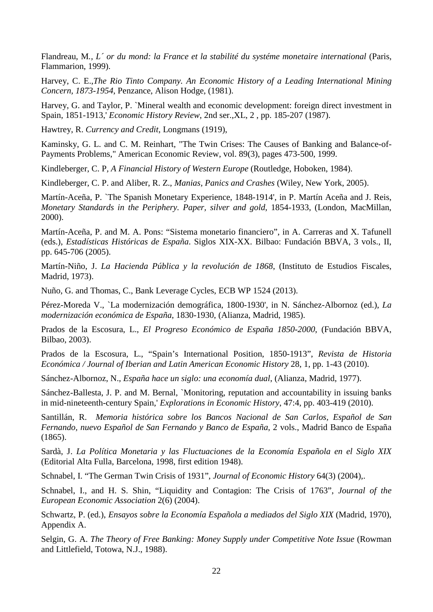Flandreau, M*., L´ or du mond: la France et la stabilité du systéme monetaire international* (Paris, Flammarion, 1999).

Harvey, C. E.,*The Rio Tinto Company. An Economic History of a Leading International Mining Concern, 1873-1954*, Penzance, Alison Hodge, (1981).

Harvey, G. and Taylor, P. `Mineral wealth and economic development: foreign direct investment in Spain, 1851-1913,' *Economic History Review*, 2nd ser.,XL, 2 , pp. 185-207 (1987).

Hawtrey, R. *Currency and Credit*, Longmans (1919),

Kaminsky, G. L. and C. M. Reinhart, "The Twin Crises: The Causes of Banking and Balance-of-Payments Problems," American Economic Review, vol. 89(3), pages 473-500, 1999.

Kindleberger, C. P*, A Financial History of Western Europe* (Routledge, Hoboken, 1984).

Kindleberger, C. P. and Aliber, R. Z., *Manias, Panics and Crashes* (Wiley, New York, 2005).

Martín-Aceña, P. `The Spanish Monetary Experience, 1848-1914', in P. Martín Aceña and J. Reis, *Monetary Standards in the Periphery. Paper, silver and gold*, 1854-1933, (London, MacMillan, 2000).

Martín-Aceña, P. and M. A. Pons: "Sistema monetario financiero", in A. Carreras and X. Tafunell (eds.), *Estadísticas Históricas de España*. Siglos XIX-XX. Bilbao: Fundación BBVA, 3 vols., II, pp. 645-706 (2005).

Martín-Niño, J. *La Hacienda Pública y la revolución de 1868*, (Instituto de Estudios Fiscales, Madrid, 1973).

Nuño, G. and Thomas, C., Bank Leverage Cycles, ECB WP 1524 (2013).

Pérez-Moreda V., `La modernización demográfica, 1800-1930', in N. Sánchez-Albornoz (ed.), *La modernización económica de España*, 1830-1930, (Alianza, Madrid, 1985).

Prados de la Escosura, L., *El Progreso Económico de España 1850-2000*, (Fundación BBVA, Bilbao, 2003).

Prados de la Escosura, L., "Spain's International Position, 1850-1913", *Revista de Historia Económica / Journal of Iberian and Latin American Economic History* 28, 1, pp. 1-43 (2010).

Sánchez-Albornoz, N., *España hace un siglo: una economía dual*, (Alianza, Madrid, 1977).

Sánchez-Ballesta, J. P. and M. Bernal, `Monitoring, reputation and accountability in issuing banks in mid-nineteenth-century Spain,' *Explorations in Economic History*, 47:4, pp. 403-419 (2010).

Santillán, R. *Memoria histórica sobre los Bancos Nacional de San Carlos, Español de San Fernando, nuevo Español de San Fernando y Banco de España*, 2 vols., Madrid Banco de España (1865).

Sardà, J. *La Política Monetaria y las Fluctuaciones de la Economía Española en el Siglo XIX* (Editorial Alta Fulla, Barcelona, 1998, first edition 1948).

Schnabel, I. "The German Twin Crisis of 1931", *Journal of Economic History* 64(3) (2004),.

Schnabel, I., and H. S. Shin, "Liquidity and Contagion: The Crisis of 1763", *Journal of the European Economic Association* 2(6) (2004).

Schwartz, P. (ed.), *Ensayos sobre la Economía Española a mediados del Siglo XIX* (Madrid, 1970), Appendix A.

Selgin, G. A. *The Theory of Free Banking: Money Supply under Competitive Note Issue* (Rowman and Littlefield, Totowa, N.J., 1988).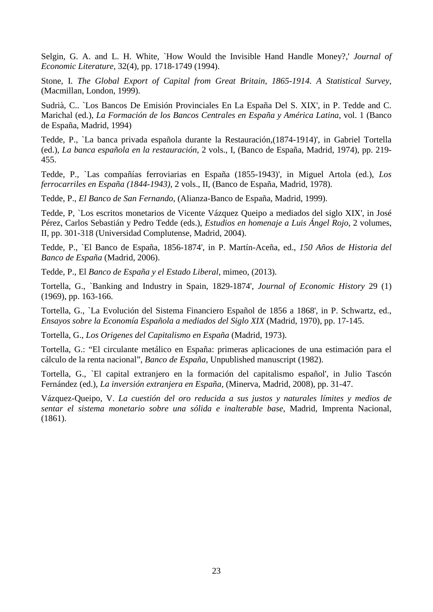Selgin, G. A. and L. H. White, `How Would the Invisible Hand Handle Money?,' *Journal of Economic Literature*, 32(4), pp. 1718-1749 (1994).

Stone, I. *The Global Export of Capital from Great Britain, 1865-1914. A Statistical Survey*, (Macmillan, London, 1999).

Sudrià, C.. `Los Bancos De Emisión Provinciales En La España Del S. XIX', in P. Tedde and C. Marichal (ed.), *La Formación de los Bancos Centrales en España y América Latina*, vol. 1 (Banco de España, Madrid, 1994)

Tedde, P., `La banca privada española durante la Restauración,(1874-1914)', in Gabriel Tortella (ed.), *La banca española en la restauración*, 2 vols., I, (Banco de España, Madrid, 1974), pp. 219- 455.

Tedde, P., `Las compañías ferroviarias en España (1855-1943)', in Miguel Artola (ed.), *Los ferrocarriles en España (1844-1943)*, 2 vols., II, (Banco de España, Madrid, 1978).

Tedde, P., *El Banco de San Fernando*, (Alianza-Banco de España, Madrid, 1999).

Tedde, P, `Los escritos monetarios de Vicente Vázquez Queipo a mediados del siglo XIX', in José Pérez, Carlos Sebastián y Pedro Tedde (eds.), *Estudios en homenaje a Luis Ángel Rojo*, 2 volumes, II, pp. 301-318 (Universidad Complutense, Madrid, 2004).

Tedde, P., `El Banco de España, 1856-1874', in P. Martín-Aceña, ed., *150 Años de Historia del Banco de España* (Madrid, 2006).

Tedde, P., El *Banco de España y el Estado Liberal,* mimeo, (2013).

Tortella, G., `Banking and Industry in Spain, 1829-1874', *Journal of Economic History* 29 (1) (1969), pp. 163-166.

Tortella, G., `La Evolución del Sistema Financiero Español de 1856 a 1868', in P. Schwartz, ed., *Ensayos sobre la Economía Española a mediados del Siglo XIX* (Madrid, 1970), pp. 17-145.

Tortella, G., *Los Origenes del Capitalismo en España* (Madrid, 1973).

Tortella, G.: "El circulante metálico en España: primeras aplicaciones de una estimación para el cálculo de la renta nacional", *Banco de España*, Unpublished manuscript (1982).

Tortella, G., `El capital extranjero en la formación del capitalismo español', in Julio Tascón Fernández (ed.), *La inversión extranjera en España*, (Minerva, Madrid, 2008), pp. 31-47.

Vázquez-Queipo, V. *La cuestión del oro reducida a sus justos y naturales límites y medios de sentar el sistema monetario sobre una sólida e inalterable base*, Madrid, Imprenta Nacional, (1861).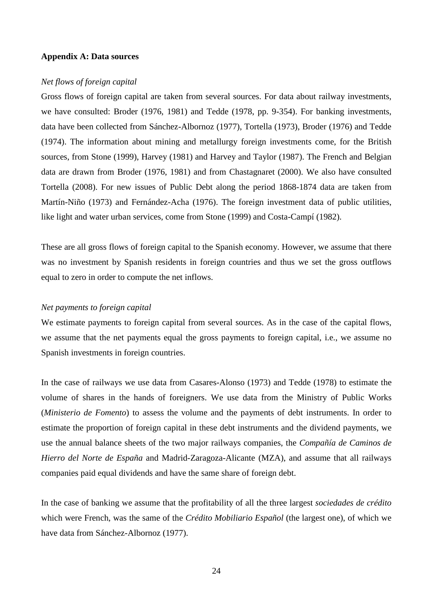#### **Appendix A: Data sources**

#### *Net flows of foreign capital*

Gross flows of foreign capital are taken from several sources. For data about railway investments, we have consulted: Broder (1976, 1981) and Tedde (1978, pp. 9-354). For banking investments, data have been collected from Sánchez-Albornoz (1977), Tortella (1973), Broder (1976) and Tedde (1974). The information about mining and metallurgy foreign investments come, for the British sources, from Stone (1999), Harvey (1981) and Harvey and Taylor (1987). The French and Belgian data are drawn from Broder (1976, 1981) and from Chastagnaret (2000). We also have consulted Tortella (2008). For new issues of Public Debt along the period 1868-1874 data are taken from Martín-Niño (1973) and Fernández-Acha (1976). The foreign investment data of public utilities, like light and water urban services, come from Stone (1999) and Costa-Campí (1982).

These are all gross flows of foreign capital to the Spanish economy. However, we assume that there was no investment by Spanish residents in foreign countries and thus we set the gross outflows equal to zero in order to compute the net inflows.

## *Net payments to foreign capital*

We estimate payments to foreign capital from several sources. As in the case of the capital flows, we assume that the net payments equal the gross payments to foreign capital, i.e., we assume no Spanish investments in foreign countries.

In the case of railways we use data from Casares-Alonso (1973) and Tedde (1978) to estimate the volume of shares in the hands of foreigners. We use data from the Ministry of Public Works (*Ministerio de Fomento*) to assess the volume and the payments of debt instruments. In order to estimate the proportion of foreign capital in these debt instruments and the dividend payments, we use the annual balance sheets of the two major railways companies, the *Compañía de Caminos de Hierro del Norte de España* and Madrid-Zaragoza-Alicante (MZA), and assume that all railways companies paid equal dividends and have the same share of foreign debt.

In the case of banking we assume that the profitability of all the three largest *sociedades de crédito* which were French, was the same of the *Crédito Mobiliario Español* (the largest one), of which we have data from Sánchez-Albornoz (1977).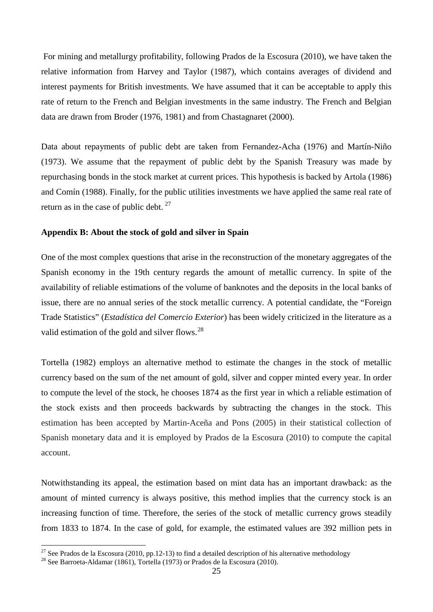For mining and metallurgy profitability, following Prados de la Escosura (2010), we have taken the relative information from Harvey and Taylor (1987), which contains averages of dividend and interest payments for British investments. We have assumed that it can be acceptable to apply this rate of return to the French and Belgian investments in the same industry. The French and Belgian data are drawn from Broder (1976, 1981) and from Chastagnaret (2000).

Data about repayments of public debt are taken from Fernandez-Acha (1976) and Martín-Niño (1973). We assume that the repayment of public debt by the Spanish Treasury was made by repurchasing bonds in the stock market at current prices. This hypothesis is backed by Artola (1986) and Comín (1988). Finally, for the public utilities investments we have applied the same real rate of return as in the case of public debt.  $27$ 

## **Appendix B: About the stock of gold and silver in Spain**

One of the most complex questions that arise in the reconstruction of the monetary aggregates of the Spanish economy in the 19th century regards the amount of metallic currency. In spite of the availability of reliable estimations of the volume of banknotes and the deposits in the local banks of issue, there are no annual series of the stock metallic currency. A potential candidate, the "Foreign Trade Statistics" (*Estadística del Comercio Exterior*) has been widely criticized in the literature as a valid estimation of the gold and silver flows. $^{28}$  $^{28}$  $^{28}$ 

Tortella (1982) employs an alternative method to estimate the changes in the stock of metallic currency based on the sum of the net amount of gold, silver and copper minted every year. In order to compute the level of the stock, he chooses 1874 as the first year in which a reliable estimation of the stock exists and then proceeds backwards by subtracting the changes in the stock. This estimation has been accepted by Martin-Aceña and Pons (2005) in their statistical collection of Spanish monetary data and it is employed by Prados de la Escosura (2010) to compute the capital account.

Notwithstanding its appeal, the estimation based on mint data has an important drawback: as the amount of minted currency is always positive, this method implies that the currency stock is an increasing function of time. Therefore, the series of the stock of metallic currency grows steadily from 1833 to 1874. In the case of gold, for example, the estimated values are 392 million pets in

<span id="page-26-0"></span><sup>&</sup>lt;sup>27</sup> See Prados de la Escosura (2010, pp.12-13) to find a detailed description of his alternative methodology <sup>28</sup> See Barroeta-Aldamar (1861), Tortella (1973) or Prados de la Escosura (2010).

<span id="page-26-1"></span>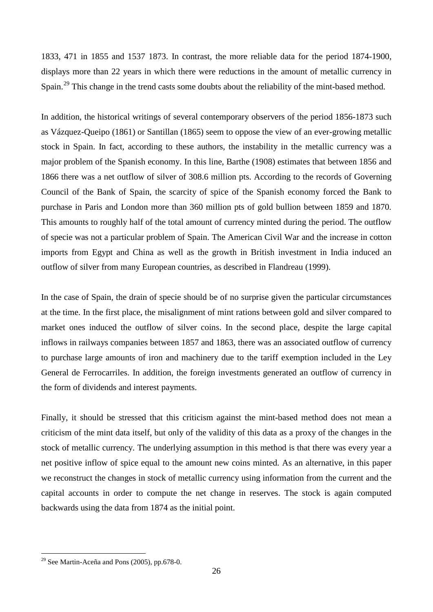1833, 471 in 1855 and 1537 1873. In contrast, the more reliable data for the period 1874-1900, displays more than 22 years in which there were reductions in the amount of metallic currency in Spain.<sup>[29](#page-27-0)</sup> This change in the trend casts some doubts about the reliability of the mint-based method.

In addition, the historical writings of several contemporary observers of the period 1856-1873 such as Vázquez-Queipo (1861) or Santillan (1865) seem to oppose the view of an ever-growing metallic stock in Spain. In fact, according to these authors, the instability in the metallic currency was a major problem of the Spanish economy. In this line, Barthe (1908) estimates that between 1856 and 1866 there was a net outflow of silver of 308.6 million pts. According to the records of Governing Council of the Bank of Spain, the scarcity of spice of the Spanish economy forced the Bank to purchase in Paris and London more than 360 million pts of gold bullion between 1859 and 1870. This amounts to roughly half of the total amount of currency minted during the period. The outflow of specie was not a particular problem of Spain. The American Civil War and the increase in cotton imports from Egypt and China as well as the growth in British investment in India induced an outflow of silver from many European countries, as described in Flandreau (1999).

In the case of Spain, the drain of specie should be of no surprise given the particular circumstances at the time. In the first place, the misalignment of mint rations between gold and silver compared to market ones induced the outflow of silver coins. In the second place, despite the large capital inflows in railways companies between 1857 and 1863, there was an associated outflow of currency to purchase large amounts of iron and machinery due to the tariff exemption included in the Ley General de Ferrocarriles. In addition, the foreign investments generated an outflow of currency in the form of dividends and interest payments.

Finally, it should be stressed that this criticism against the mint-based method does not mean a criticism of the mint data itself, but only of the validity of this data as a proxy of the changes in the stock of metallic currency. The underlying assumption in this method is that there was every year a net positive inflow of spice equal to the amount new coins minted. As an alternative, in this paper we reconstruct the changes in stock of metallic currency using information from the current and the capital accounts in order to compute the net change in reserves. The stock is again computed backwards using the data from 1874 as the initial point.

<span id="page-27-0"></span> $29$  See Martin-Aceña and Pons (2005), pp.678-0.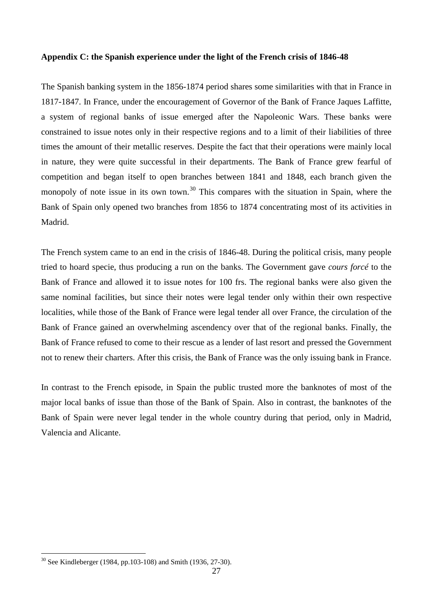## **Appendix C: the Spanish experience under the light of the French crisis of 1846-48**

The Spanish banking system in the 1856-1874 period shares some similarities with that in France in 1817-1847. In France, under the encouragement of Governor of the Bank of France Jaques Laffitte, a system of regional banks of issue emerged after the Napoleonic Wars. These banks were constrained to issue notes only in their respective regions and to a limit of their liabilities of three times the amount of their metallic reserves. Despite the fact that their operations were mainly local in nature, they were quite successful in their departments. The Bank of France grew fearful of competition and began itself to open branches between 1841 and 1848, each branch given the monopoly of note issue in its own town.<sup>[30](#page-28-0)</sup> This compares with the situation in Spain, where the Bank of Spain only opened two branches from 1856 to 1874 concentrating most of its activities in Madrid.

The French system came to an end in the crisis of 1846-48. During the political crisis, many people tried to hoard specie, thus producing a run on the banks. The Government gave *cours forcé* to the Bank of France and allowed it to issue notes for 100 frs. The regional banks were also given the same nominal facilities, but since their notes were legal tender only within their own respective localities, while those of the Bank of France were legal tender all over France, the circulation of the Bank of France gained an overwhelming ascendency over that of the regional banks. Finally, the Bank of France refused to come to their rescue as a lender of last resort and pressed the Government not to renew their charters. After this crisis, the Bank of France was the only issuing bank in France.

In contrast to the French episode, in Spain the public trusted more the banknotes of most of the major local banks of issue than those of the Bank of Spain. Also in contrast, the banknotes of the Bank of Spain were never legal tender in the whole country during that period, only in Madrid, Valencia and Alicante.

<span id="page-28-0"></span> <sup>30</sup> See Kindleberger (1984, pp.103-108) and Smith (1936, 27-30).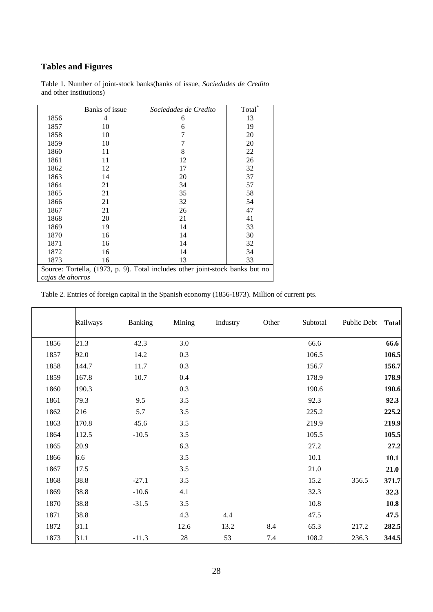## **Tables and Figures**

|                                                                               | Banks of issue | Sociedades de Credito | Total <sup>*</sup> |  |  |
|-------------------------------------------------------------------------------|----------------|-----------------------|--------------------|--|--|
| 1856                                                                          | 4              | 6                     | 13                 |  |  |
| 1857                                                                          | 10             | 6                     | 19                 |  |  |
| 1858                                                                          | 10             | 7                     | 20                 |  |  |
| 1859                                                                          | 10             | 7                     | 20                 |  |  |
| 1860                                                                          | 11             | 8                     | 22                 |  |  |
| 1861                                                                          | 11             | 12                    | 26                 |  |  |
| 1862                                                                          | 12             | 17                    | 32                 |  |  |
| 1863                                                                          | 14             | 20                    | 37                 |  |  |
| 1864                                                                          | 21             | 34                    | 57                 |  |  |
| 1865                                                                          | 21             | 35                    | 58                 |  |  |
| 1866                                                                          | 21             | 32                    | 54                 |  |  |
| 1867                                                                          | 21             | 26                    | 47                 |  |  |
| 1868                                                                          | 20             | 21                    | 41                 |  |  |
| 1869                                                                          | 19             | 14                    | 33                 |  |  |
| 1870                                                                          | 16             | 14                    | 30                 |  |  |
| 1871                                                                          | 16             | 14                    | 32                 |  |  |
| 1872                                                                          | 16             | 14                    | 34                 |  |  |
| 1873                                                                          | 16             | 13                    | 33                 |  |  |
| Source: Tortella, (1973, p. 9). Total includes other joint-stock banks but no |                |                       |                    |  |  |
| cajas de ahorros                                                              |                |                       |                    |  |  |

Table 1. Number of joint-stock banks(banks of issue, *Sociedades de Credito* and other institutions)

Table 2. Entries of foreign capital in the Spanish economy (1856-1873). Million of current pts.

|      | Railways | Banking | Mining | Industry | Other | Subtotal | Public Debt | <b>Total</b> |
|------|----------|---------|--------|----------|-------|----------|-------------|--------------|
| 1856 | 21.3     | 42.3    | 3.0    |          |       | 66.6     |             | 66.6         |
| 1857 | 92.0     | 14.2    | 0.3    |          |       | 106.5    |             | 106.5        |
| 1858 | 144.7    | 11.7    | 0.3    |          |       | 156.7    |             | 156.7        |
| 1859 | 167.8    | 10.7    | 0.4    |          |       | 178.9    |             | 178.9        |
| 1860 | 190.3    |         | 0.3    |          |       | 190.6    |             | 190.6        |
| 1861 | 79.3     | 9.5     | 3.5    |          |       | 92.3     |             | 92.3         |
| 1862 | 216      | 5.7     | 3.5    |          |       | 225.2    |             | 225.2        |
| 1863 | 170.8    | 45.6    | 3.5    |          |       | 219.9    |             | 219.9        |
| 1864 | 112.5    | $-10.5$ | 3.5    |          |       | 105.5    |             | 105.5        |
| 1865 | 20.9     |         | 6.3    |          |       | 27.2     |             | 27.2         |
| 1866 | 6.6      |         | 3.5    |          |       | 10.1     |             | 10.1         |
| 1867 | 17.5     |         | 3.5    |          |       | 21.0     |             | 21.0         |
| 1868 | 38.8     | $-27.1$ | 3.5    |          |       | 15.2     | 356.5       | 371.7        |
| 1869 | 38.8     | $-10.6$ | 4.1    |          |       | 32.3     |             | 32.3         |
| 1870 | 38.8     | $-31.5$ | 3.5    |          |       | 10.8     |             | 10.8         |
| 1871 | 38.8     |         | 4.3    | 4.4      |       | 47.5     |             | 47.5         |
| 1872 | 31.1     |         | 12.6   | 13.2     | 8.4   | 65.3     | 217.2       | 282.5        |
| 1873 | 31.1     | $-11.3$ | 28     | 53       | 7.4   | 108.2    | 236.3       | 344.5        |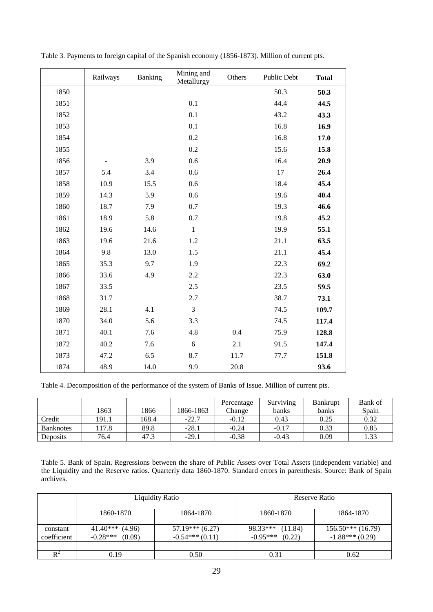|      | Railways | Banking | Mining and<br>Metallurgy | Others | Public Debt | <b>Total</b> |
|------|----------|---------|--------------------------|--------|-------------|--------------|
| 1850 |          |         |                          |        | 50.3        | 50.3         |
| 1851 |          |         | 0.1                      |        | 44.4        | 44.5         |
| 1852 |          |         | 0.1                      |        | 43.2        | 43.3         |
| 1853 |          |         | 0.1                      |        | 16.8        | 16.9         |
| 1854 |          |         | 0.2                      |        | 16.8        | 17.0         |
| 1855 |          |         | 0.2                      |        | 15.6        | 15.8         |
| 1856 |          | 3.9     | 0.6                      |        | 16.4        | 20.9         |
| 1857 | 5.4      | 3.4     | 0.6                      |        | 17          | 26.4         |
| 1858 | 10.9     | 15.5    | 0.6                      |        | 18.4        | 45.4         |
| 1859 | 14.3     | 5.9     | 0.6                      |        | 19.6        | 40.4         |
| 1860 | 18.7     | 7.9     | 0.7                      |        | 19.3        | 46.6         |
| 1861 | 18.9     | 5.8     | 0.7                      |        | 19.8        | 45.2         |
| 1862 | 19.6     | 14.6    | $\,1$                    |        | 19.9        | 55.1         |
| 1863 | 19.6     | 21.6    | 1.2                      |        | 21.1        | 63.5         |
| 1864 | 9.8      | 13.0    | 1.5                      |        | 21.1        | 45.4         |
| 1865 | 35.3     | 9.7     | 1.9                      |        | 22.3        | 69.2         |
| 1866 | 33.6     | 4.9     | 2.2                      |        | 22.3        | 63.0         |
| 1867 | 33.5     |         | 2.5                      |        | 23.5        | 59.5         |
| 1868 | 31.7     |         | 2.7                      |        | 38.7        | 73.1         |
| 1869 | 28.1     | 4.1     | $\overline{3}$           |        | 74.5        | 109.7        |
| 1870 | 34.0     | 5.6     | 3.3                      |        | 74.5        | 117.4        |
| 1871 | 40.1     | 7.6     | 4.8                      | 0.4    | 75.9        | 128.8        |
| 1872 | 40.2     | 7.6     | 6                        | 2.1    | 91.5        | 147.4        |
| 1873 | 47.2     | 6.5     | 8.7                      | 11.7   | 77.7        | 151.8        |
| 1874 | 48.9     | 14.0    | 9.9                      | 20.8   |             | 93.6         |

Table 3. Payments to foreign capital of the Spanish economy (1856-1873). Million of current pts.

Table 4. Decomposition of the performance of the system of Banks of Issue. Million of current pts.

|                  |       |       |           | Percentage | Surviving | <b>Bankrupt</b> | Bank of |
|------------------|-------|-------|-----------|------------|-----------|-----------------|---------|
|                  | 1863  | 1866  | 1866-1863 | Change     | banks     | banks           | Spain   |
| Credit           | 191.1 | 168.4 | $-22.7$   | $-0.12$    | 0.43      | 0.25            | 0.32    |
| <b>Banknotes</b> | 17.8  | 89.8  | $-28.1$   | $-0.24$    | $-0.17$   | 0.33            | 0.85    |
| <b>Deposits</b>  | 76.4  | 47.   | $-29.1$   | $-0.38$    | $-0.43$   | 0.09            | 1.33    |

Table 5. Bank of Spain. Regressions between the share of Public Assets over Total Assets (independent variable) and the Liquidity and the Reserve ratios. Quarterly data 1860-1870. Standard errors in parenthesis. Source: Bank of Spain archives.

|             |                      | <b>Liquidity Ratio</b> | Reserve Ratio        |                    |  |
|-------------|----------------------|------------------------|----------------------|--------------------|--|
|             | 1860-1870            | 1864-1870              | 1860-1870            | 1864-1870          |  |
| constant    | $41.40***$<br>(4.96) | $57.19***$ (6.27)      | 98.33***<br>(11.84)  | $156.50***(16.79)$ |  |
| coefficient | $-0.28***$<br>(0.09) | $-0.54***(0.11)$       | $-0.95***$<br>(0.22) | $-1.88***(0.29)$   |  |
|             |                      |                        |                      |                    |  |
|             | 0.19                 | 0.50                   | 0.31                 | 0.62               |  |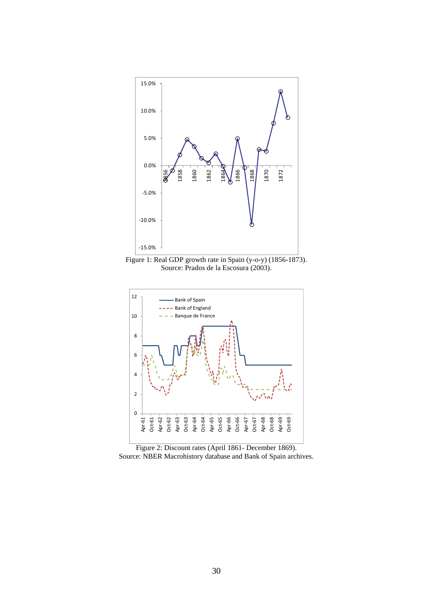

Figure 1: Real GDP growth rate in Spain (y-o-y) (1856-1873). Source: Prados de la Escosura (2003).



Figure 2: Discount rates (April 1861- December 1869). Source: NBER Macrohistory database and Bank of Spain archives.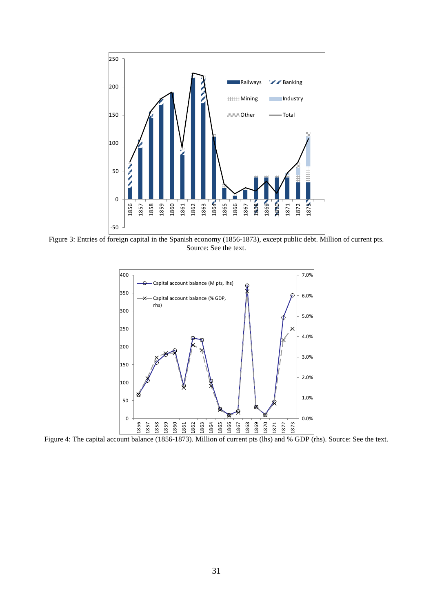

Figure 3: Entries of foreign capital in the Spanish economy (1856-1873), except public debt. Million of current pts. Source: See the text.



Figure 4: The capital account balance (1856-1873). Million of current pts (lhs) and % GDP (rhs). Source: See the text.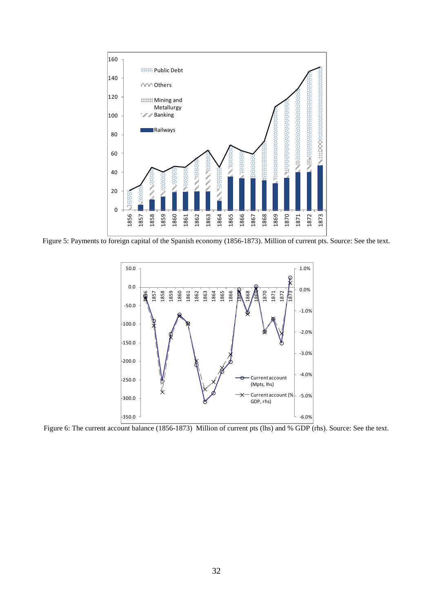

Figure 5: Payments to foreign capital of the Spanish economy (1856-1873). Million of current pts. Source: See the text.



Figure 6: The current account balance (1856-1873) Million of current pts (lhs) and % GDP (rhs). Source: See the text.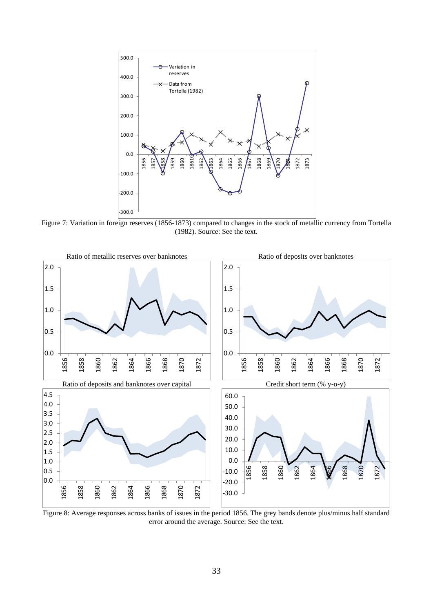

Figure 7: Variation in foreign reserves (1856-1873) compared to changes in the stock of metallic currency from Tortella (1982). Source: See the text.



Figure 8: Average responses across banks of issues in the period 1856. The grey bands denote plus/minus half standard error around the average. Source: See the text.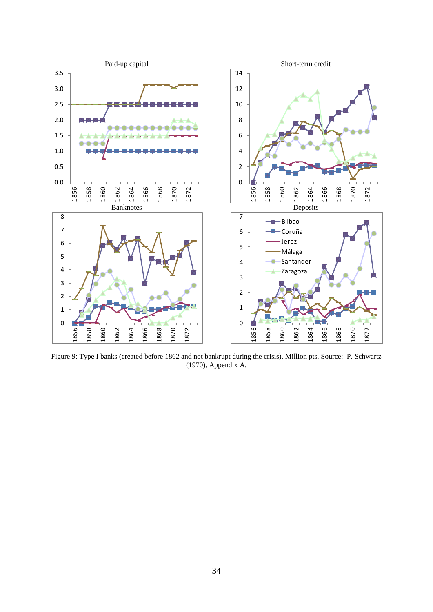

Figure 9: Type I banks (created before 1862 and not bankrupt during the crisis). Million pts. Source: P. Schwartz (1970), Appendix A.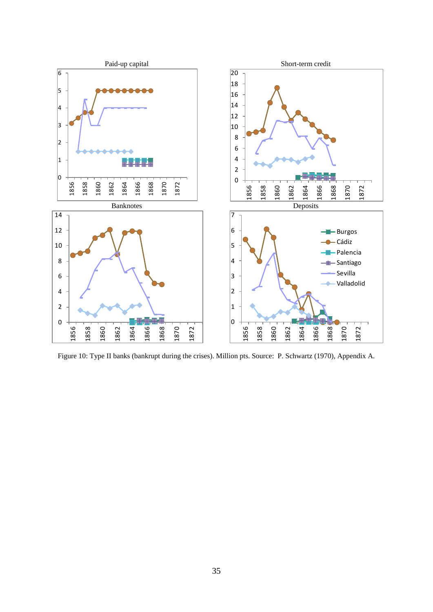

Figure 10: Type II banks (bankrupt during the crises). Million pts. Source: P. Schwartz (1970), Appendix A.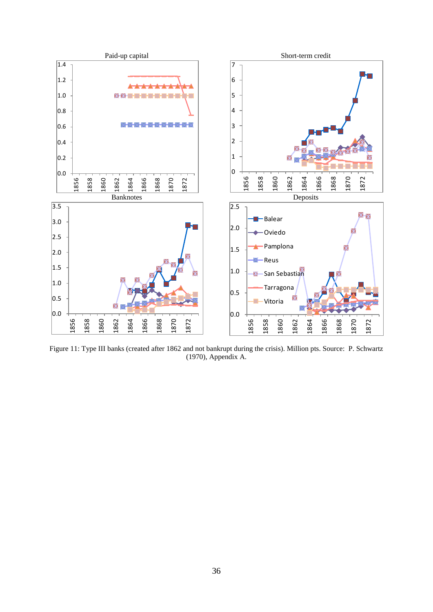

Figure 11: Type III banks (created after 1862 and not bankrupt during the crisis). Million pts. Source: P. Schwartz (1970), Appendix A.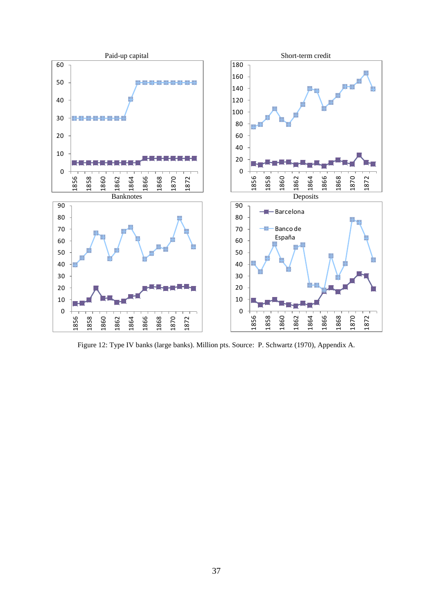

Figure 12: Type IV banks (large banks). Million pts. Source: P. Schwartz (1970), Appendix A.